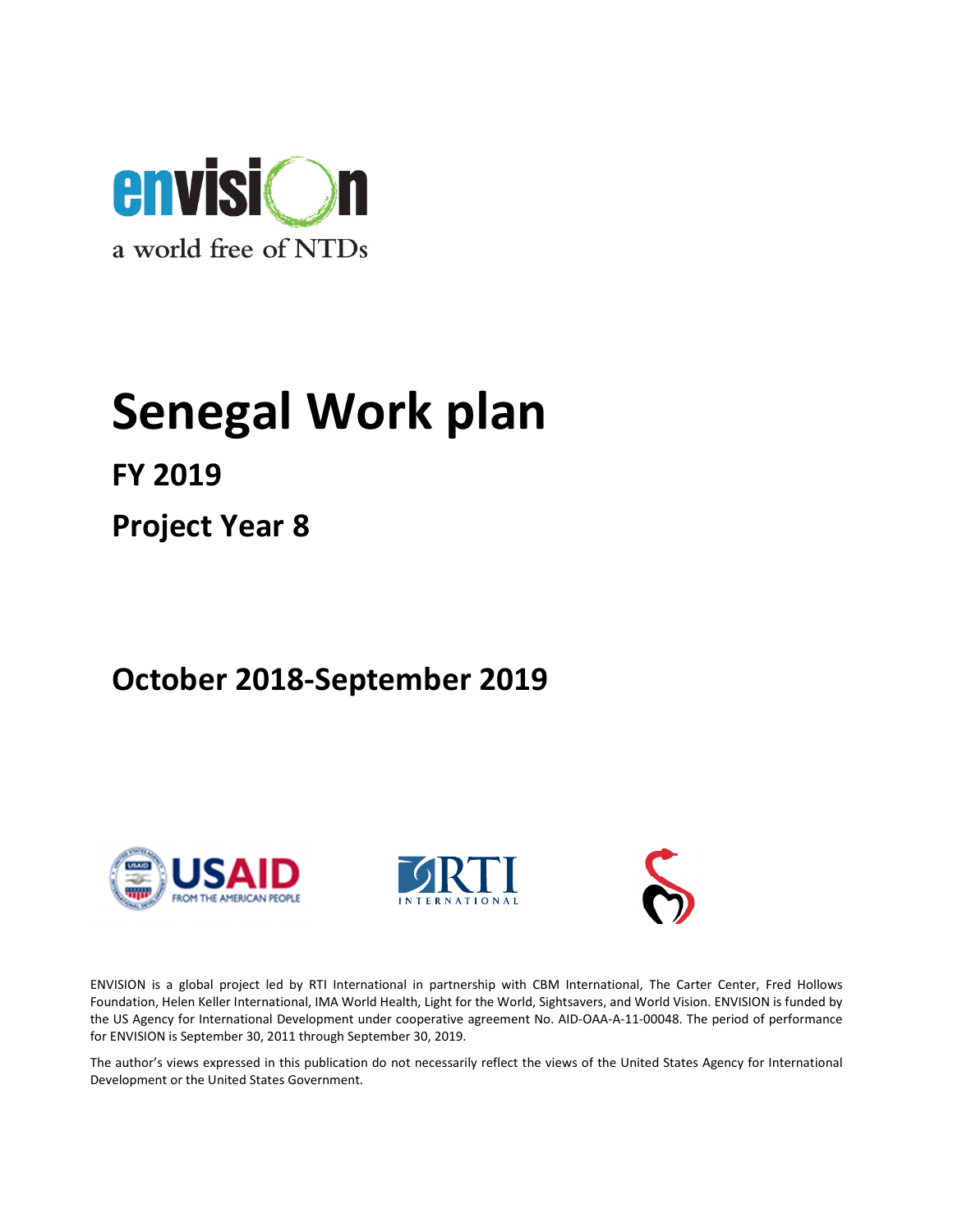

# Senegal Work plan

FY 2019

Project Year 8

# October 2018-September 2019







ENVISION is a global project led by RTI International in partnership with CBM International, The Carter Center, Fred Hollows Foundation, Helen Keller International, IMA World Health, Light for the World, Sightsavers, and World Vision. ENVISION is funded by the US Agency for International Development under cooperative agreement No. AID-OAA-A-11-00048. The period of performance for ENVISION is September 30, 2011 through September 30, 2019.

The author's views expressed in this publication do not necessarily reflect the views of the United States Agency for International Development or the United States Government.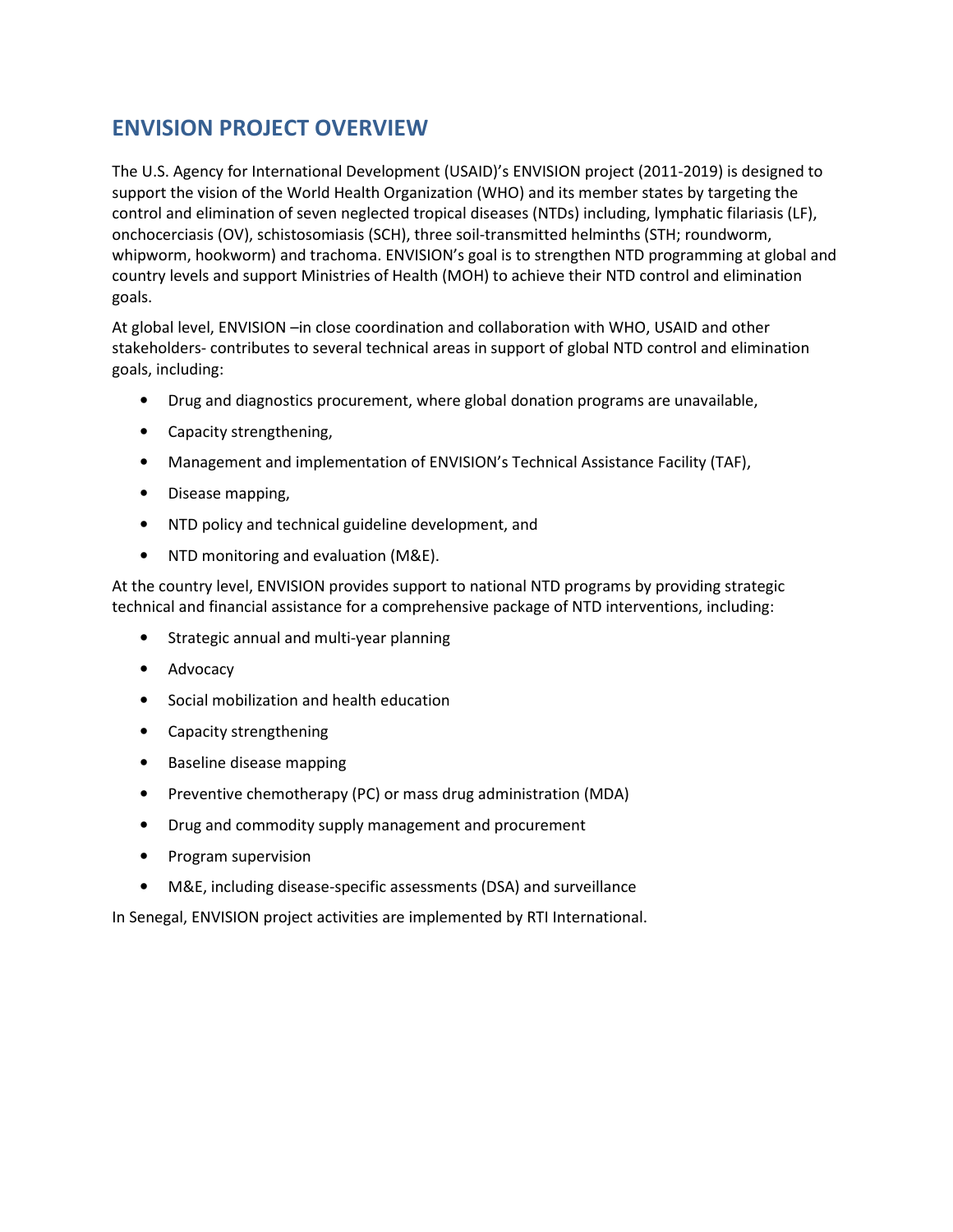## ENVISION PROJECT OVERVIEW

The U.S. Agency for International Development (USAID)'s ENVISION project (2011-2019) is designed to support the vision of the World Health Organization (WHO) and its member states by targeting the control and elimination of seven neglected tropical diseases (NTDs) including, lymphatic filariasis (LF), onchocerciasis (OV), schistosomiasis (SCH), three soil-transmitted helminths (STH; roundworm, whipworm, hookworm) and trachoma. ENVISION's goal is to strengthen NTD programming at global and country levels and support Ministries of Health (MOH) to achieve their NTD control and elimination goals.

At global level, ENVISION –in close coordination and collaboration with WHO, USAID and other stakeholders- contributes to several technical areas in support of global NTD control and elimination goals, including:

- Drug and diagnostics procurement, where global donation programs are unavailable,
- Capacity strengthening,
- Management and implementation of ENVISION's Technical Assistance Facility (TAF),
- Disease mapping,
- NTD policy and technical guideline development, and
- NTD monitoring and evaluation (M&E).

At the country level, ENVISION provides support to national NTD programs by providing strategic technical and financial assistance for a comprehensive package of NTD interventions, including:

- Strategic annual and multi-year planning
- Advocacy
- Social mobilization and health education
- Capacity strengthening
- Baseline disease mapping
- Preventive chemotherapy (PC) or mass drug administration (MDA)
- Drug and commodity supply management and procurement
- Program supervision
- M&E, including disease-specific assessments (DSA) and surveillance

In Senegal, ENVISION project activities are implemented by RTI International.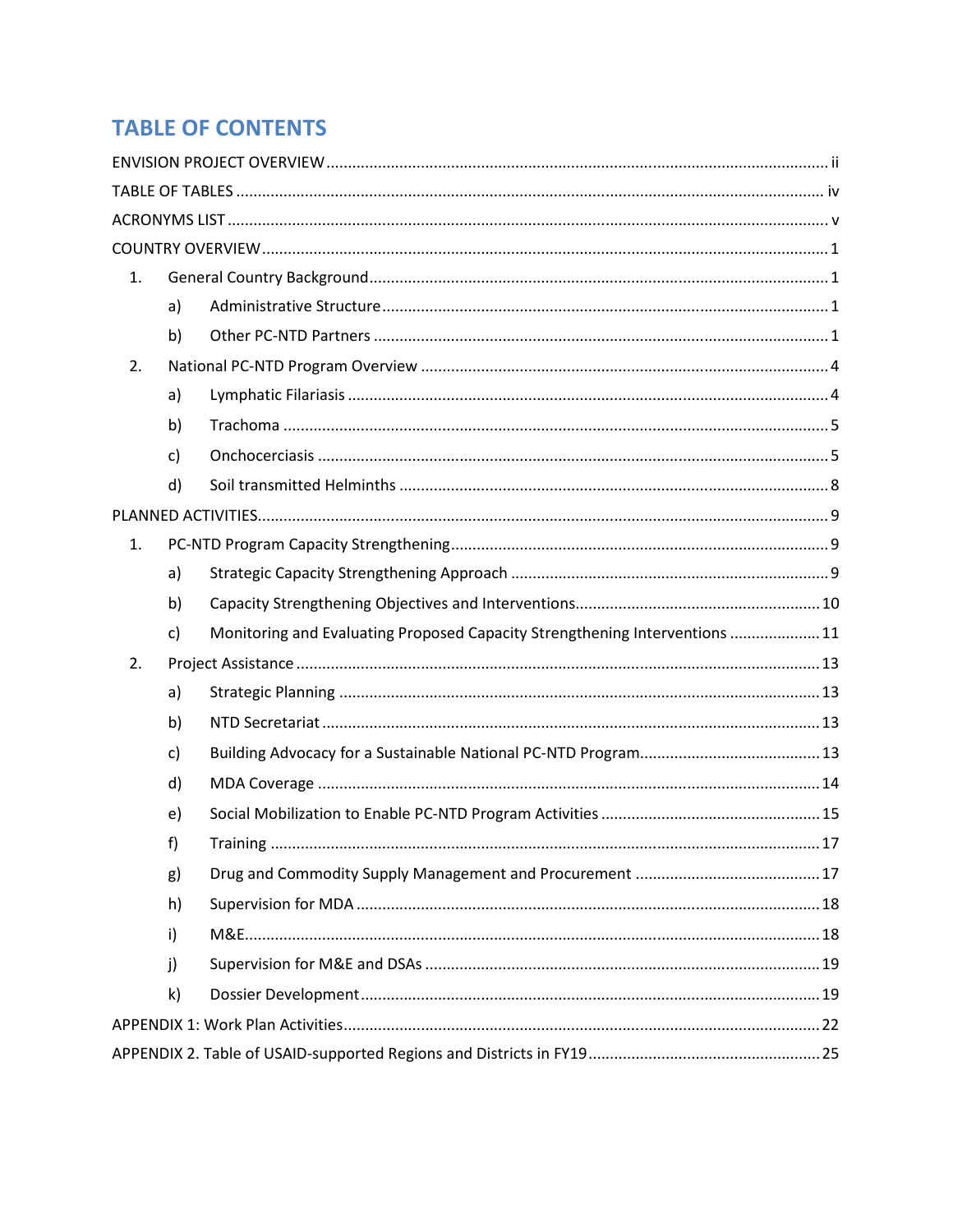## **TABLE OF CONTENTS**

| 1. |              |                                                                             |  |
|----|--------------|-----------------------------------------------------------------------------|--|
|    | a)           |                                                                             |  |
|    | b)           |                                                                             |  |
| 2. |              |                                                                             |  |
|    | a)           |                                                                             |  |
|    | b)           |                                                                             |  |
|    | c)           |                                                                             |  |
|    | d)           |                                                                             |  |
|    |              |                                                                             |  |
| 1. |              |                                                                             |  |
|    | a)           |                                                                             |  |
|    | b)           |                                                                             |  |
|    | $\mathsf{C}$ | Monitoring and Evaluating Proposed Capacity Strengthening Interventions  11 |  |
| 2. |              |                                                                             |  |
|    | a)           |                                                                             |  |
|    | b)           |                                                                             |  |
|    | c)           |                                                                             |  |
|    | d)           |                                                                             |  |
|    | e)           |                                                                             |  |
|    | f)           |                                                                             |  |
|    | g)           |                                                                             |  |
|    | h)           |                                                                             |  |
|    | i)           |                                                                             |  |
|    | j)           |                                                                             |  |
|    | k)           |                                                                             |  |
|    |              |                                                                             |  |
|    |              |                                                                             |  |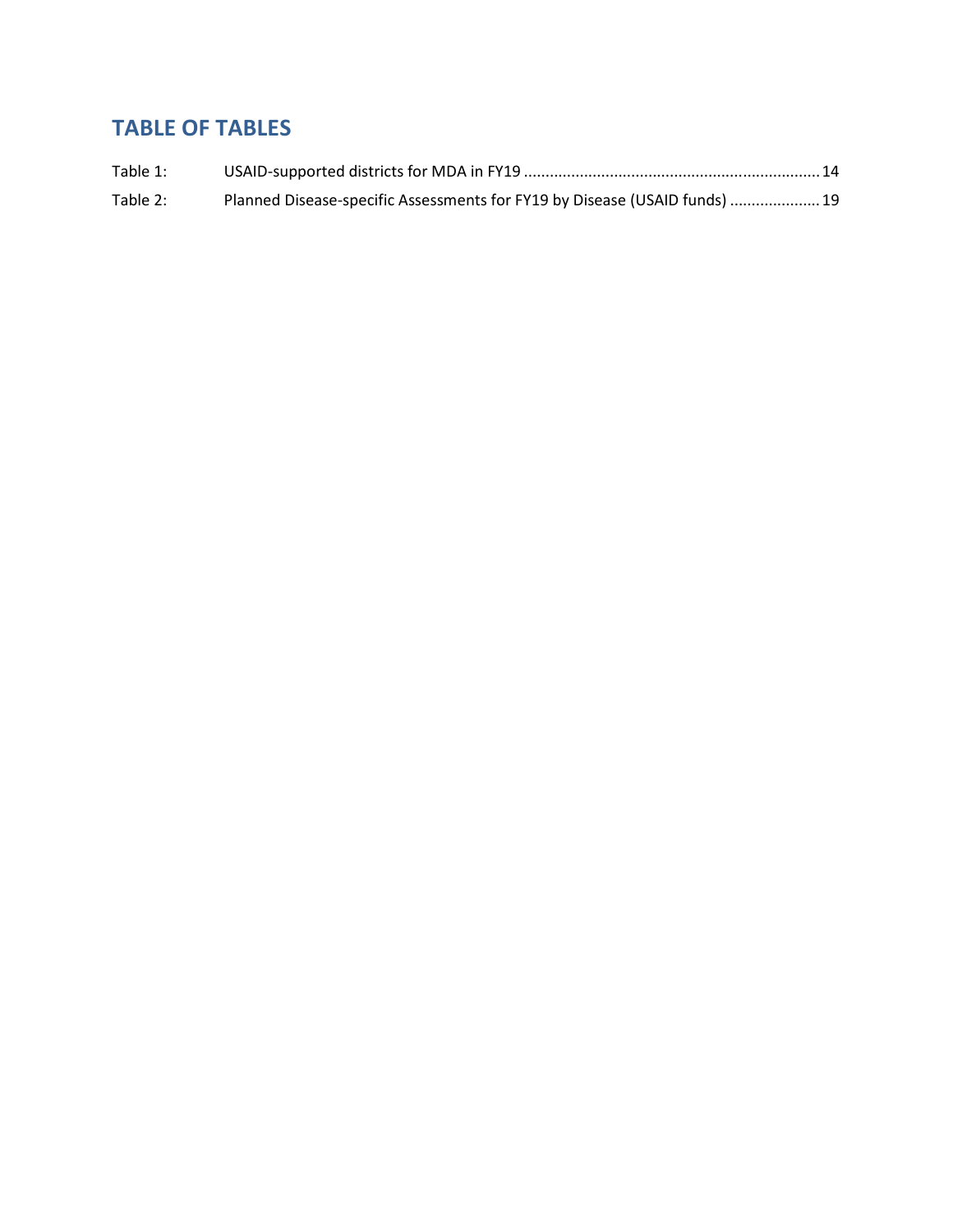## TABLE OF TABLES

| Table 1: |                                                                            |  |
|----------|----------------------------------------------------------------------------|--|
| Table 2: | Planned Disease-specific Assessments for FY19 by Disease (USAID funds)  19 |  |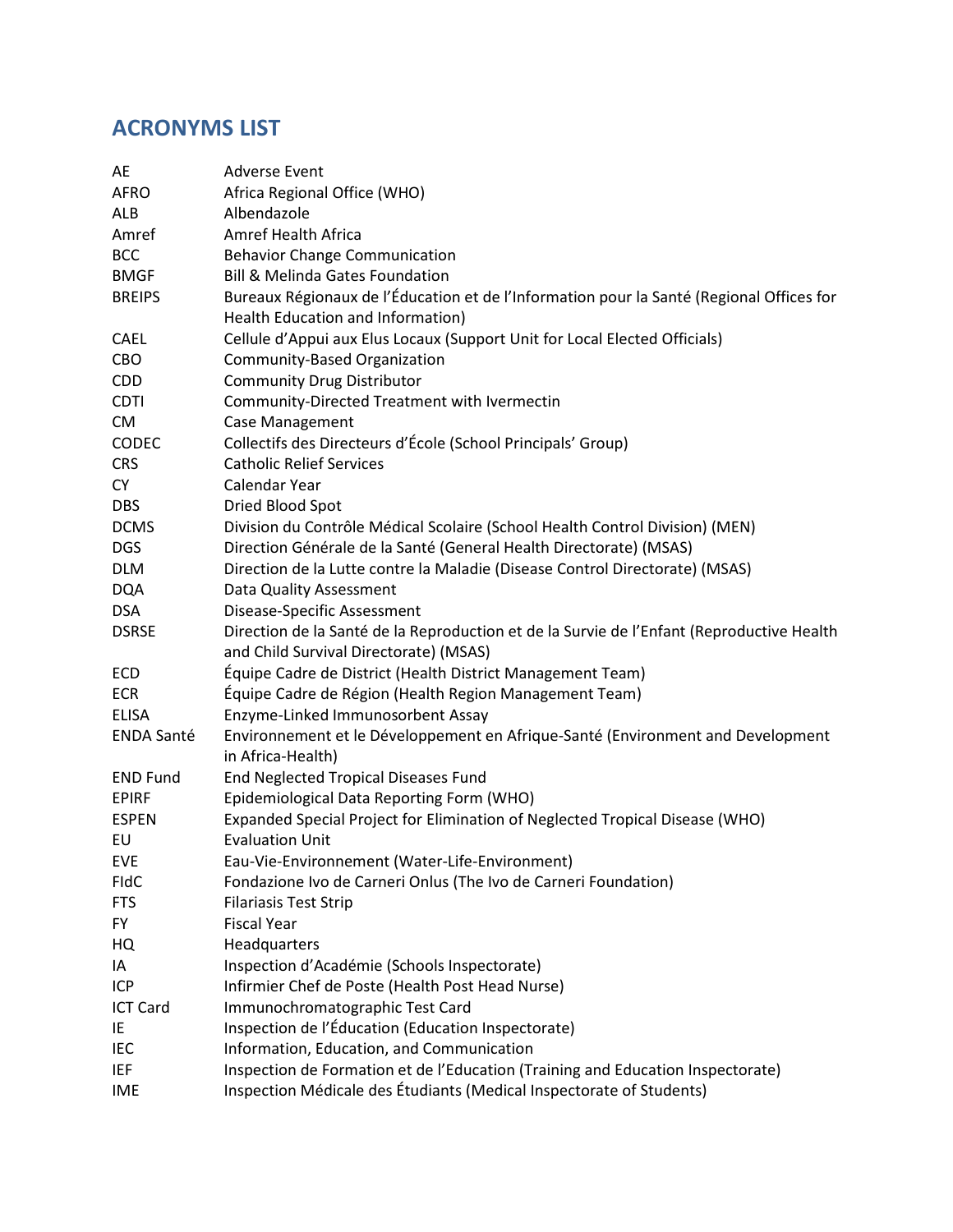## ACRONYMS LIST

| AE                | <b>Adverse Event</b>                                                                                 |
|-------------------|------------------------------------------------------------------------------------------------------|
| <b>AFRO</b>       | Africa Regional Office (WHO)                                                                         |
| ALB               | Albendazole                                                                                          |
| Amref             | <b>Amref Health Africa</b>                                                                           |
| <b>BCC</b>        | <b>Behavior Change Communication</b>                                                                 |
| <b>BMGF</b>       | <b>Bill &amp; Melinda Gates Foundation</b>                                                           |
| <b>BREIPS</b>     | Bureaux Régionaux de l'Éducation et de l'Information pour la Santé (Regional Offices for             |
|                   | Health Education and Information)                                                                    |
| <b>CAEL</b>       | Cellule d'Appui aux Elus Locaux (Support Unit for Local Elected Officials)                           |
| CBO               | Community-Based Organization                                                                         |
| <b>CDD</b>        | <b>Community Drug Distributor</b>                                                                    |
| <b>CDTI</b>       | Community-Directed Treatment with Ivermectin                                                         |
| <b>CM</b>         | Case Management                                                                                      |
| CODEC             | Collectifs des Directeurs d'École (School Principals' Group)                                         |
| <b>CRS</b>        | <b>Catholic Relief Services</b>                                                                      |
| CY                | Calendar Year                                                                                        |
| <b>DBS</b>        | Dried Blood Spot                                                                                     |
| <b>DCMS</b>       | Division du Contrôle Médical Scolaire (School Health Control Division) (MEN)                         |
| <b>DGS</b>        | Direction Générale de la Santé (General Health Directorate) (MSAS)                                   |
| <b>DLM</b>        | Direction de la Lutte contre la Maladie (Disease Control Directorate) (MSAS)                         |
| <b>DQA</b>        | Data Quality Assessment                                                                              |
| <b>DSA</b>        | Disease-Specific Assessment                                                                          |
| <b>DSRSE</b>      | Direction de la Santé de la Reproduction et de la Survie de l'Enfant (Reproductive Health            |
|                   | and Child Survival Directorate) (MSAS)                                                               |
| ECD               | Équipe Cadre de District (Health District Management Team)                                           |
| <b>ECR</b>        | Équipe Cadre de Région (Health Region Management Team)                                               |
| <b>ELISA</b>      | Enzyme-Linked Immunosorbent Assay                                                                    |
| <b>ENDA Santé</b> | Environnement et le Développement en Afrique-Santé (Environment and Development<br>in Africa-Health) |
| <b>END Fund</b>   | End Neglected Tropical Diseases Fund                                                                 |
| <b>EPIRF</b>      | Epidemiological Data Reporting Form (WHO)                                                            |
| <b>ESPEN</b>      | Expanded Special Project for Elimination of Neglected Tropical Disease (WHO)                         |
| EU                | <b>Evaluation Unit</b>                                                                               |
| EVE               | Eau-Vie-Environnement (Water-Life-Environment)                                                       |
| <b>FIdC</b>       | Fondazione Ivo de Carneri Onlus (The Ivo de Carneri Foundation)                                      |
| <b>FTS</b>        | <b>Filariasis Test Strip</b>                                                                         |
| FY.               | <b>Fiscal Year</b>                                                                                   |
| HQ                | Headquarters                                                                                         |
| IA                | Inspection d'Académie (Schools Inspectorate)                                                         |
| <b>ICP</b>        | Infirmier Chef de Poste (Health Post Head Nurse)                                                     |
| <b>ICT Card</b>   | Immunochromatographic Test Card                                                                      |
| IE.               | Inspection de l'Éducation (Education Inspectorate)                                                   |
| IEC               | Information, Education, and Communication                                                            |
| IEF               | Inspection de Formation et de l'Education (Training and Education Inspectorate)                      |
| <b>IME</b>        | Inspection Médicale des Étudiants (Medical Inspectorate of Students)                                 |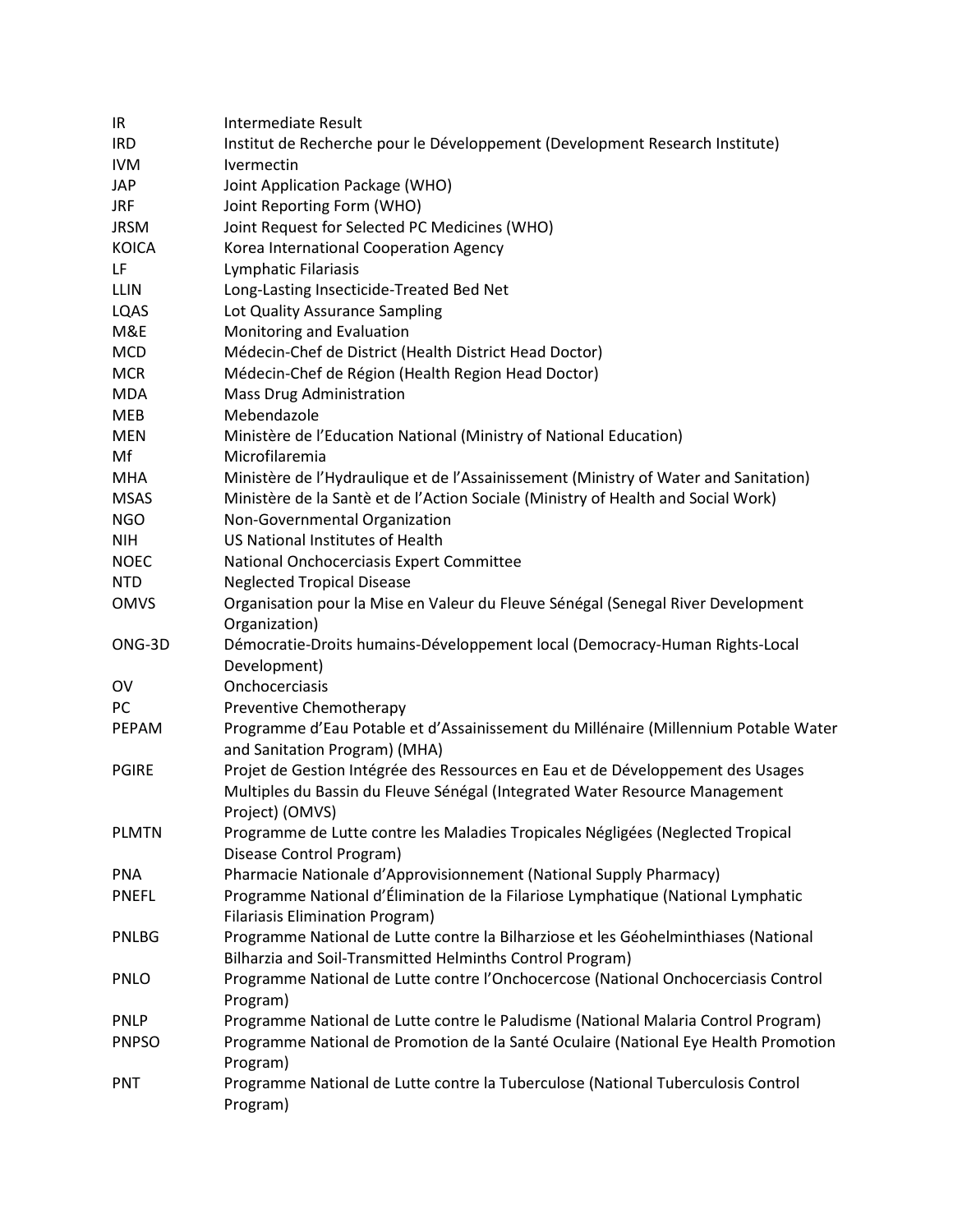| IR.          | Intermediate Result                                                                                                  |
|--------------|----------------------------------------------------------------------------------------------------------------------|
| <b>IRD</b>   | Institut de Recherche pour le Développement (Development Research Institute)                                         |
| <b>IVM</b>   | Ivermectin                                                                                                           |
| <b>JAP</b>   | Joint Application Package (WHO)                                                                                      |
| <b>JRF</b>   | Joint Reporting Form (WHO)                                                                                           |
| <b>JRSM</b>  | Joint Request for Selected PC Medicines (WHO)                                                                        |
| <b>KOICA</b> | Korea International Cooperation Agency                                                                               |
| LF           | Lymphatic Filariasis                                                                                                 |
| LLIN         | Long-Lasting Insecticide-Treated Bed Net                                                                             |
| LQAS         | Lot Quality Assurance Sampling                                                                                       |
| M&E          | Monitoring and Evaluation                                                                                            |
| <b>MCD</b>   | Médecin-Chef de District (Health District Head Doctor)                                                               |
| <b>MCR</b>   | Médecin-Chef de Région (Health Region Head Doctor)                                                                   |
| <b>MDA</b>   | <b>Mass Drug Administration</b>                                                                                      |
| MEB          | Mebendazole                                                                                                          |
| <b>MEN</b>   | Ministère de l'Education National (Ministry of National Education)                                                   |
| Mf           | Microfilaremia                                                                                                       |
| <b>MHA</b>   | Ministère de l'Hydraulique et de l'Assainissement (Ministry of Water and Sanitation)                                 |
| <b>MSAS</b>  | Ministère de la Santè et de l'Action Sociale (Ministry of Health and Social Work)                                    |
| <b>NGO</b>   | Non-Governmental Organization                                                                                        |
| <b>NIH</b>   | US National Institutes of Health                                                                                     |
| <b>NOEC</b>  | National Onchocerciasis Expert Committee                                                                             |
| <b>NTD</b>   | <b>Neglected Tropical Disease</b>                                                                                    |
|              |                                                                                                                      |
| <b>OMVS</b>  | Organisation pour la Mise en Valeur du Fleuve Sénégal (Senegal River Development<br>Organization)                    |
| ONG-3D       | Démocratie-Droits humains-Développement local (Democracy-Human Rights-Local                                          |
|              | Development)                                                                                                         |
| OV           | Onchocerciasis                                                                                                       |
| PC           | Preventive Chemotherapy                                                                                              |
| PEPAM        | Programme d'Eau Potable et d'Assainissement du Millénaire (Millennium Potable Water<br>and Sanitation Program) (MHA) |
| <b>PGIRE</b> | Projet de Gestion Intégrée des Ressources en Eau et de Développement des Usages                                      |
|              | Multiples du Bassin du Fleuve Sénégal (Integrated Water Resource Management                                          |
|              | Project) (OMVS)                                                                                                      |
| <b>PLMTN</b> | Programme de Lutte contre les Maladies Tropicales Négligées (Neglected Tropical                                      |
|              | Disease Control Program)                                                                                             |
| <b>PNA</b>   | Pharmacie Nationale d'Approvisionnement (National Supply Pharmacy)                                                   |
| <b>PNEFL</b> | Programme National d'Élimination de la Filariose Lymphatique (National Lymphatic                                     |
|              | <b>Filariasis Elimination Program)</b>                                                                               |
| PNLBG        | Programme National de Lutte contre la Bilharziose et les Géohelminthiases (National                                  |
|              | Bilharzia and Soil-Transmitted Helminths Control Program)                                                            |
| PNLO         | Programme National de Lutte contre l'Onchocercose (National Onchocerciasis Control                                   |
|              | Program)                                                                                                             |
| <b>PNLP</b>  | Programme National de Lutte contre le Paludisme (National Malaria Control Program)                                   |
| <b>PNPSO</b> | Programme National de Promotion de la Santé Oculaire (National Eye Health Promotion                                  |
|              | Program)                                                                                                             |
| <b>PNT</b>   | Programme National de Lutte contre la Tuberculose (National Tuberculosis Control                                     |
|              | Program)                                                                                                             |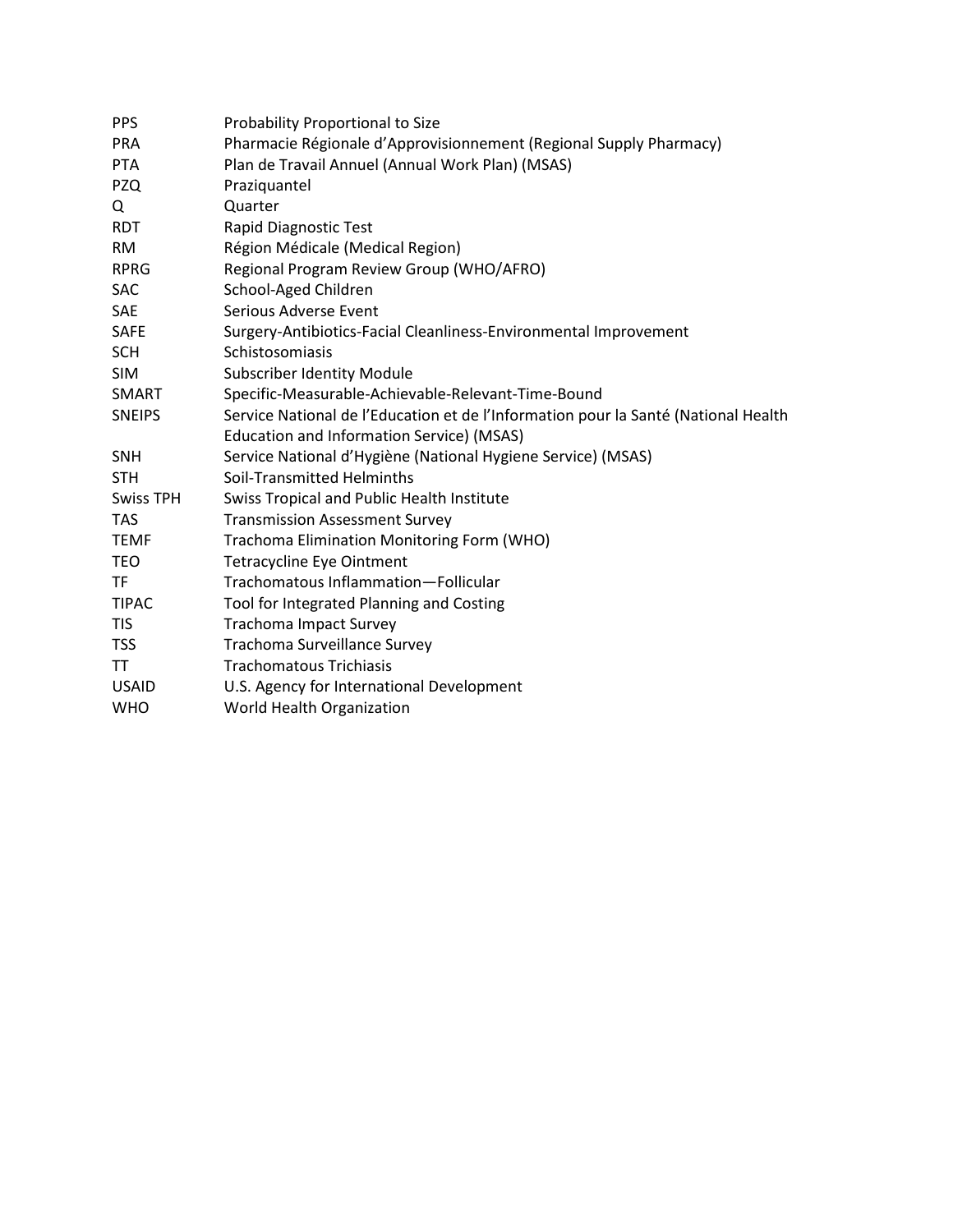| <b>PPS</b>       | Probability Proportional to Size                                                   |
|------------------|------------------------------------------------------------------------------------|
| <b>PRA</b>       | Pharmacie Régionale d'Approvisionnement (Regional Supply Pharmacy)                 |
| <b>PTA</b>       | Plan de Travail Annuel (Annual Work Plan) (MSAS)                                   |
| <b>PZQ</b>       | Praziquantel                                                                       |
| Q                | Quarter                                                                            |
| <b>RDT</b>       | Rapid Diagnostic Test                                                              |
| <b>RM</b>        | Région Médicale (Medical Region)                                                   |
| <b>RPRG</b>      | Regional Program Review Group (WHO/AFRO)                                           |
| <b>SAC</b>       | School-Aged Children                                                               |
| <b>SAE</b>       | Serious Adverse Event                                                              |
| <b>SAFE</b>      | Surgery-Antibiotics-Facial Cleanliness-Environmental Improvement                   |
| <b>SCH</b>       | Schistosomiasis                                                                    |
| <b>SIM</b>       | <b>Subscriber Identity Module</b>                                                  |
| <b>SMART</b>     | Specific-Measurable-Achievable-Relevant-Time-Bound                                 |
| <b>SNEIPS</b>    | Service National de l'Education et de l'Information pour la Santé (National Health |
|                  | Education and Information Service) (MSAS)                                          |
| <b>SNH</b>       | Service National d'Hygiène (National Hygiene Service) (MSAS)                       |
| <b>STH</b>       | Soil-Transmitted Helminths                                                         |
| <b>Swiss TPH</b> | Swiss Tropical and Public Health Institute                                         |
| <b>TAS</b>       | <b>Transmission Assessment Survey</b>                                              |
| <b>TEMF</b>      | Trachoma Elimination Monitoring Form (WHO)                                         |
| <b>TEO</b>       | <b>Tetracycline Eye Ointment</b>                                                   |
| <b>TF</b>        | Trachomatous Inflammation-Follicular                                               |
| <b>TIPAC</b>     | Tool for Integrated Planning and Costing                                           |
| <b>TIS</b>       | <b>Trachoma Impact Survey</b>                                                      |
| <b>TSS</b>       | Trachoma Surveillance Survey                                                       |
| TT.              | <b>Trachomatous Trichiasis</b>                                                     |
| <b>USAID</b>     | U.S. Agency for International Development                                          |
| <b>WHO</b>       | World Health Organization                                                          |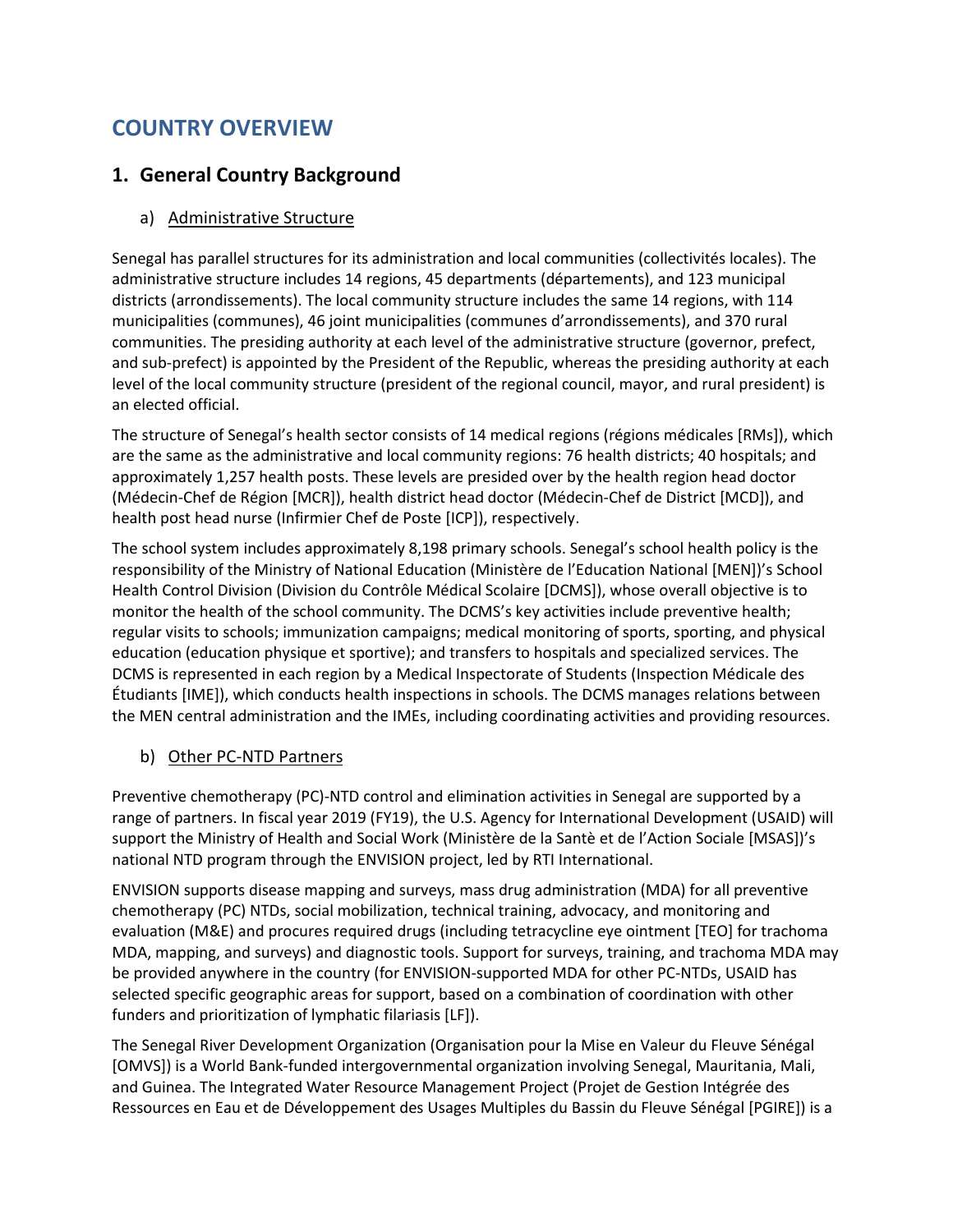## COUNTRY OVERVIEW

#### 1. General Country Background

#### a) Administrative Structure

Senegal has parallel structures for its administration and local communities (collectivités locales). The administrative structure includes 14 regions, 45 departments (départements), and 123 municipal districts (arrondissements). The local community structure includes the same 14 regions, with 114 municipalities (communes), 46 joint municipalities (communes d'arrondissements), and 370 rural communities. The presiding authority at each level of the administrative structure (governor, prefect, and sub-prefect) is appointed by the President of the Republic, whereas the presiding authority at each level of the local community structure (president of the regional council, mayor, and rural president) is an elected official.

The structure of Senegal's health sector consists of 14 medical regions (régions médicales [RMs]), which are the same as the administrative and local community regions: 76 health districts; 40 hospitals; and approximately 1,257 health posts. These levels are presided over by the health region head doctor (Médecin-Chef de Région [MCR]), health district head doctor (Médecin-Chef de District [MCD]), and health post head nurse (Infirmier Chef de Poste [ICP]), respectively.

The school system includes approximately 8,198 primary schools. Senegal's school health policy is the responsibility of the Ministry of National Education (Ministère de l'Education National [MEN])'s School Health Control Division (Division du Contrôle Médical Scolaire [DCMS]), whose overall objective is to monitor the health of the school community. The DCMS's key activities include preventive health; regular visits to schools; immunization campaigns; medical monitoring of sports, sporting, and physical education (education physique et sportive); and transfers to hospitals and specialized services. The DCMS is represented in each region by a Medical Inspectorate of Students (Inspection Médicale des Étudiants [IME]), which conducts health inspections in schools. The DCMS manages relations between the MEN central administration and the IMEs, including coordinating activities and providing resources.

#### b) Other PC-NTD Partners

Preventive chemotherapy (PC)-NTD control and elimination activities in Senegal are supported by a range of partners. In fiscal year 2019 (FY19), the U.S. Agency for International Development (USAID) will support the Ministry of Health and Social Work (Ministère de la Santè et de l'Action Sociale [MSAS])'s national NTD program through the ENVISION project, led by RTI International.

ENVISION supports disease mapping and surveys, mass drug administration (MDA) for all preventive chemotherapy (PC) NTDs, social mobilization, technical training, advocacy, and monitoring and evaluation (M&E) and procures required drugs (including tetracycline eye ointment [TEO] for trachoma MDA, mapping, and surveys) and diagnostic tools. Support for surveys, training, and trachoma MDA may be provided anywhere in the country (for ENVISION-supported MDA for other PC-NTDs, USAID has selected specific geographic areas for support, based on a combination of coordination with other funders and prioritization of lymphatic filariasis [LF]).

The Senegal River Development Organization (Organisation pour la Mise en Valeur du Fleuve Sénégal [OMVS]) is a World Bank-funded intergovernmental organization involving Senegal, Mauritania, Mali, and Guinea. The Integrated Water Resource Management Project (Projet de Gestion Intégrée des Ressources en Eau et de Développement des Usages Multiples du Bassin du Fleuve Sénégal [PGIRE]) is a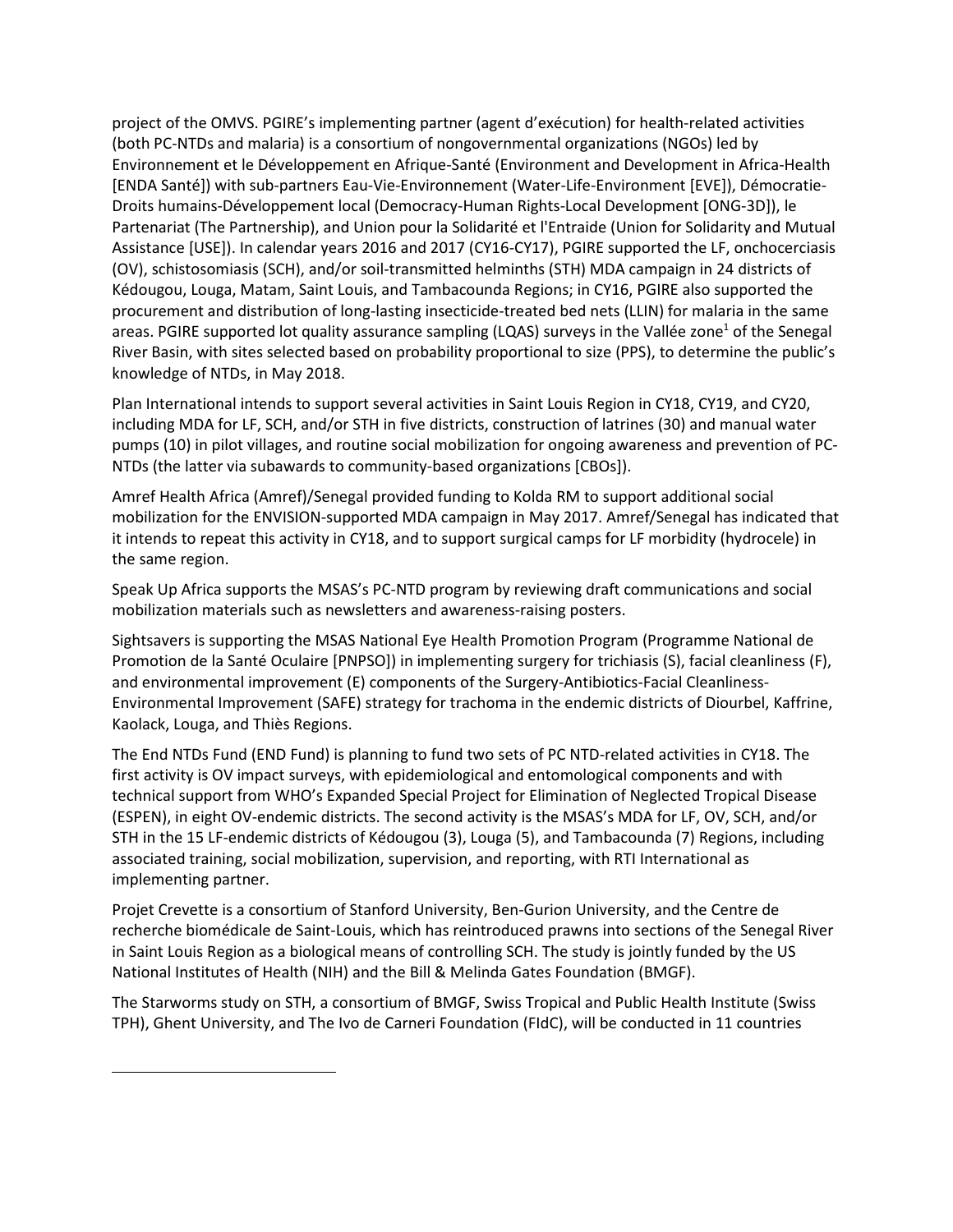project of the OMVS. PGIRE's implementing partner (agent d'exécution) for health-related activities (both PC-NTDs and malaria) is a consortium of nongovernmental organizations (NGOs) led by Environnement et le Développement en Afrique-Santé (Environment and Development in Africa-Health [ENDA Santé]) with sub-partners Eau-Vie-Environnement (Water-Life-Environment [EVE]), Démocratie-Droits humains-Développement local (Democracy-Human Rights-Local Development [ONG-3D]), le Partenariat (The Partnership), and Union pour la Solidarité et l'Entraide (Union for Solidarity and Mutual Assistance [USE]). In calendar years 2016 and 2017 (CY16-CY17), PGIRE supported the LF, onchocerciasis (OV), schistosomiasis (SCH), and/or soil-transmitted helminths (STH) MDA campaign in 24 districts of Kédougou, Louga, Matam, Saint Louis, and Tambacounda Regions; in CY16, PGIRE also supported the procurement and distribution of long-lasting insecticide-treated bed nets (LLIN) for malaria in the same areas. PGIRE supported lot quality assurance sampling (LQAS) surveys in the Vallée zone<sup>1</sup> of the Senegal River Basin, with sites selected based on probability proportional to size (PPS), to determine the public's knowledge of NTDs, in May 2018.

Plan International intends to support several activities in Saint Louis Region in CY18, CY19, and CY20, including MDA for LF, SCH, and/or STH in five districts, construction of latrines (30) and manual water pumps (10) in pilot villages, and routine social mobilization for ongoing awareness and prevention of PC-NTDs (the latter via subawards to community-based organizations [CBOs]).

Amref Health Africa (Amref)/Senegal provided funding to Kolda RM to support additional social mobilization for the ENVISION-supported MDA campaign in May 2017. Amref/Senegal has indicated that it intends to repeat this activity in CY18, and to support surgical camps for LF morbidity (hydrocele) in the same region.

Speak Up Africa supports the MSAS's PC-NTD program by reviewing draft communications and social mobilization materials such as newsletters and awareness-raising posters.

Sightsavers is supporting the MSAS National Eye Health Promotion Program (Programme National de Promotion de la Santé Oculaire [PNPSO]) in implementing surgery for trichiasis (S), facial cleanliness (F), and environmental improvement (E) components of the Surgery-Antibiotics-Facial Cleanliness-Environmental Improvement (SAFE) strategy for trachoma in the endemic districts of Diourbel, Kaffrine, Kaolack, Louga, and Thiès Regions.

The End NTDs Fund (END Fund) is planning to fund two sets of PC NTD-related activities in CY18. The first activity is OV impact surveys, with epidemiological and entomological components and with technical support from WHO's Expanded Special Project for Elimination of Neglected Tropical Disease (ESPEN), in eight OV-endemic districts. The second activity is the MSAS's MDA for LF, OV, SCH, and/or STH in the 15 LF-endemic districts of Kédougou (3), Louga (5), and Tambacounda (7) Regions, including associated training, social mobilization, supervision, and reporting, with RTI International as implementing partner.

Projet Crevette is a consortium of Stanford University, Ben-Gurion University, and the Centre de recherche biomédicale de Saint-Louis, which has reintroduced prawns into sections of the Senegal River in Saint Louis Region as a biological means of controlling SCH. The study is jointly funded by the US National Institutes of Health (NIH) and the Bill & Melinda Gates Foundation (BMGF).

The Starworms study on STH, a consortium of BMGF, Swiss Tropical and Public Health Institute (Swiss TPH), Ghent University, and The Ivo de Carneri Foundation (FIdC), will be conducted in 11 countries

 $\overline{a}$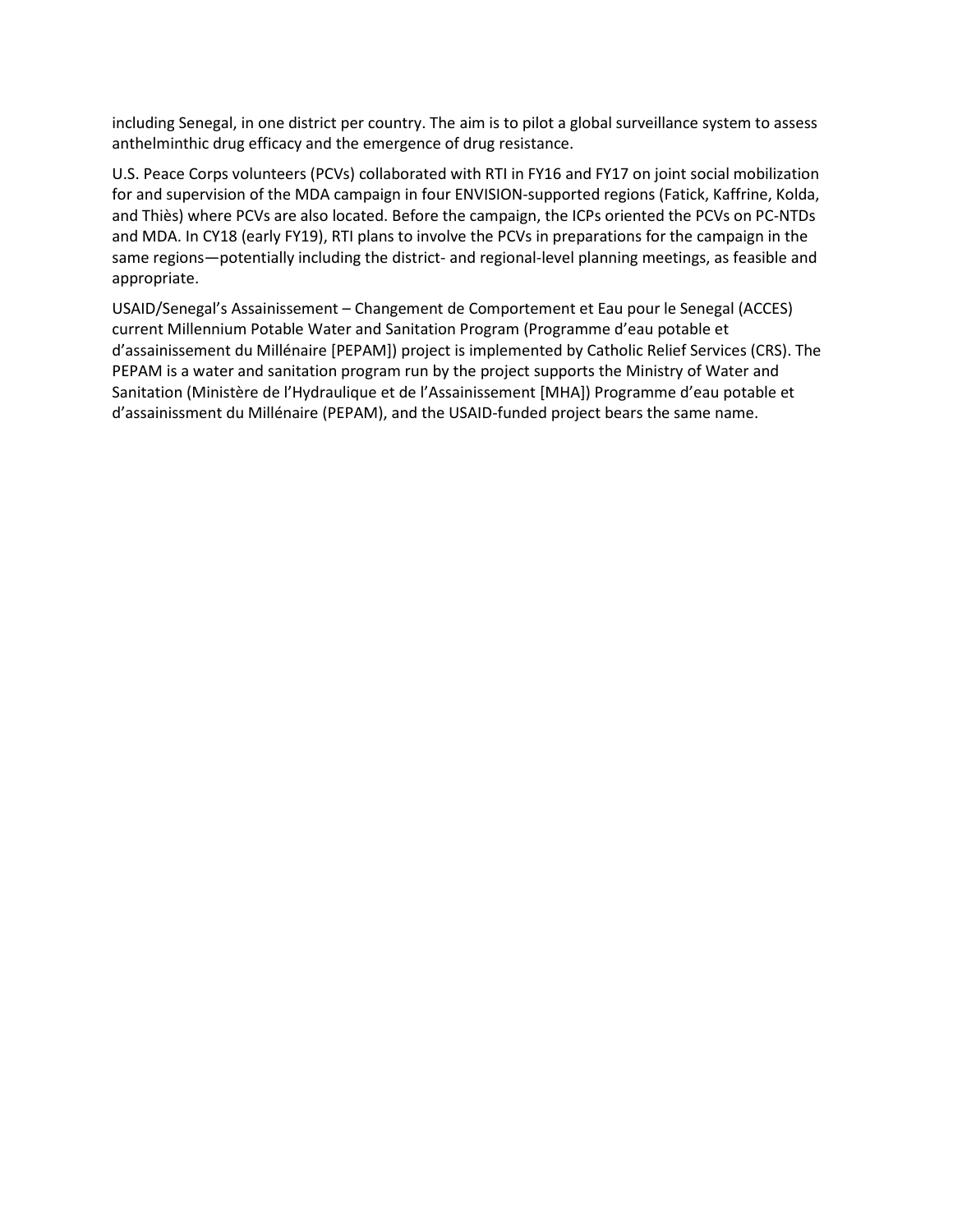including Senegal, in one district per country. The aim is to pilot a global surveillance system to assess anthelminthic drug efficacy and the emergence of drug resistance.

U.S. Peace Corps volunteers (PCVs) collaborated with RTI in FY16 and FY17 on joint social mobilization for and supervision of the MDA campaign in four ENVISION-supported regions (Fatick, Kaffrine, Kolda, and Thiès) where PCVs are also located. Before the campaign, the ICPs oriented the PCVs on PC-NTDs and MDA. In CY18 (early FY19), RTI plans to involve the PCVs in preparations for the campaign in the same regions—potentially including the district- and regional-level planning meetings, as feasible and appropriate.

USAID/Senegal's Assainissement – Changement de Comportement et Eau pour le Senegal (ACCES) current Millennium Potable Water and Sanitation Program (Programme d'eau potable et d'assainissement du Millénaire [PEPAM]) project is implemented by Catholic Relief Services (CRS). The PEPAM is a water and sanitation program run by the project supports the Ministry of Water and Sanitation (Ministère de l'Hydraulique et de l'Assainissement [MHA]) Programme d'eau potable et d'assainissment du Millénaire (PEPAM), and the USAID-funded project bears the same name.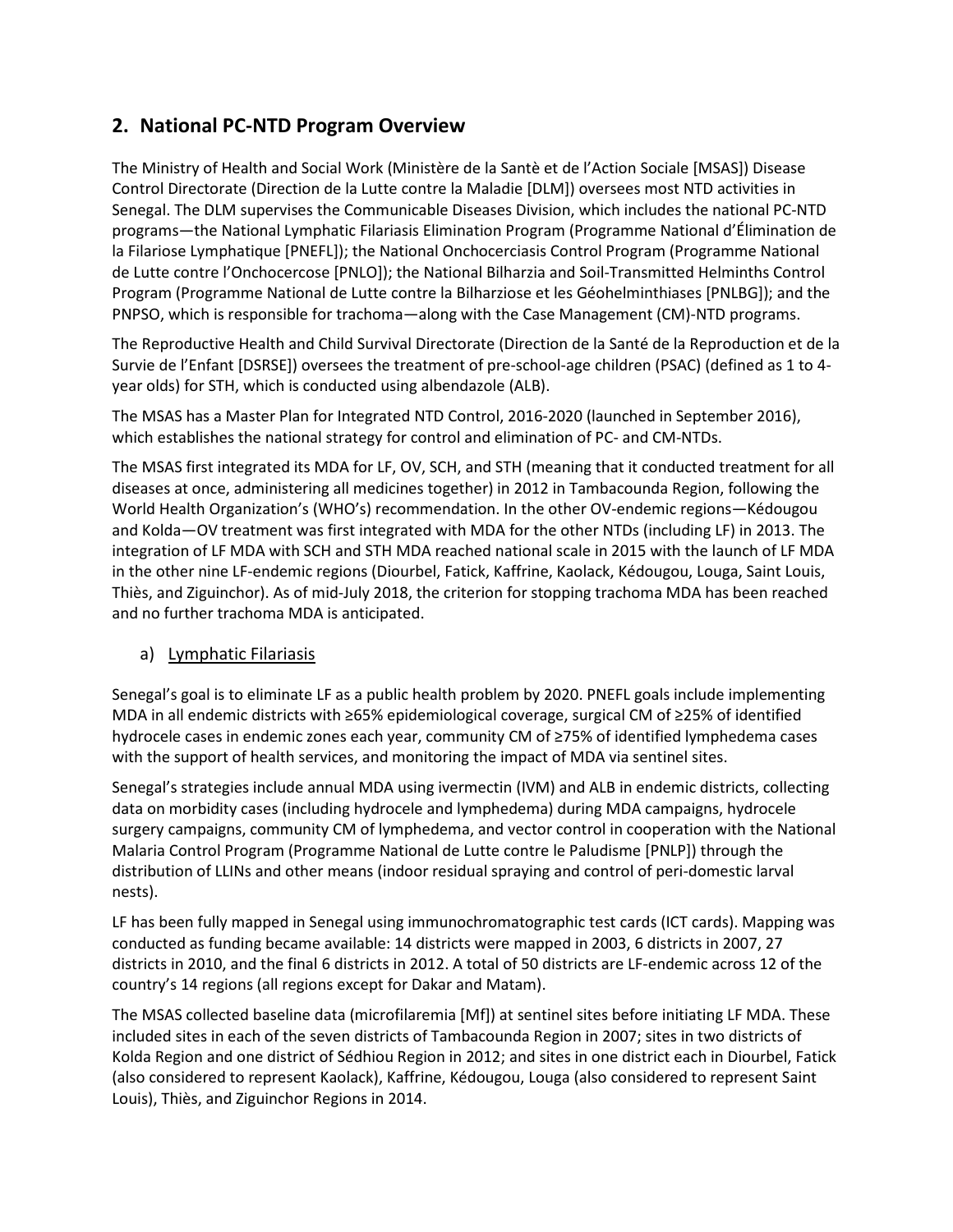## 2. National PC-NTD Program Overview

The Ministry of Health and Social Work (Ministère de la Santè et de l'Action Sociale [MSAS]) Disease Control Directorate (Direction de la Lutte contre la Maladie [DLM]) oversees most NTD activities in Senegal. The DLM supervises the Communicable Diseases Division, which includes the national PC-NTD programs—the National Lymphatic Filariasis Elimination Program (Programme National d'Élimination de la Filariose Lymphatique [PNEFL]); the National Onchocerciasis Control Program (Programme National de Lutte contre l'Onchocercose [PNLO]); the National Bilharzia and Soil-Transmitted Helminths Control Program (Programme National de Lutte contre la Bilharziose et les Géohelminthiases [PNLBG]); and the PNPSO, which is responsible for trachoma—along with the Case Management (CM)-NTD programs.

The Reproductive Health and Child Survival Directorate (Direction de la Santé de la Reproduction et de la Survie de l'Enfant [DSRSE]) oversees the treatment of pre-school-age children (PSAC) (defined as 1 to 4 year olds) for STH, which is conducted using albendazole (ALB).

The MSAS has a Master Plan for Integrated NTD Control, 2016-2020 (launched in September 2016), which establishes the national strategy for control and elimination of PC- and CM-NTDs.

The MSAS first integrated its MDA for LF, OV, SCH, and STH (meaning that it conducted treatment for all diseases at once, administering all medicines together) in 2012 in Tambacounda Region, following the World Health Organization's (WHO's) recommendation. In the other OV-endemic regions—Kédougou and Kolda—OV treatment was first integrated with MDA for the other NTDs (including LF) in 2013. The integration of LF MDA with SCH and STH MDA reached national scale in 2015 with the launch of LF MDA in the other nine LF-endemic regions (Diourbel, Fatick, Kaffrine, Kaolack, Kédougou, Louga, Saint Louis, Thiès, and Ziguinchor). As of mid-July 2018, the criterion for stopping trachoma MDA has been reached and no further trachoma MDA is anticipated.

#### a) Lymphatic Filariasis

Senegal's goal is to eliminate LF as a public health problem by 2020. PNEFL goals include implementing MDA in all endemic districts with ≥65% epidemiological coverage, surgical CM of ≥25% of identified hydrocele cases in endemic zones each year, community CM of ≥75% of identified lymphedema cases with the support of health services, and monitoring the impact of MDA via sentinel sites.

Senegal's strategies include annual MDA using ivermectin (IVM) and ALB in endemic districts, collecting data on morbidity cases (including hydrocele and lymphedema) during MDA campaigns, hydrocele surgery campaigns, community CM of lymphedema, and vector control in cooperation with the National Malaria Control Program (Programme National de Lutte contre le Paludisme [PNLP]) through the distribution of LLINs and other means (indoor residual spraying and control of peri-domestic larval nests).

LF has been fully mapped in Senegal using immunochromatographic test cards (ICT cards). Mapping was conducted as funding became available: 14 districts were mapped in 2003, 6 districts in 2007, 27 districts in 2010, and the final 6 districts in 2012. A total of 50 districts are LF-endemic across 12 of the country's 14 regions (all regions except for Dakar and Matam).

The MSAS collected baseline data (microfilaremia [Mf]) at sentinel sites before initiating LF MDA. These included sites in each of the seven districts of Tambacounda Region in 2007; sites in two districts of Kolda Region and one district of Sédhiou Region in 2012; and sites in one district each in Diourbel, Fatick (also considered to represent Kaolack), Kaffrine, Kédougou, Louga (also considered to represent Saint Louis), Thiès, and Ziguinchor Regions in 2014.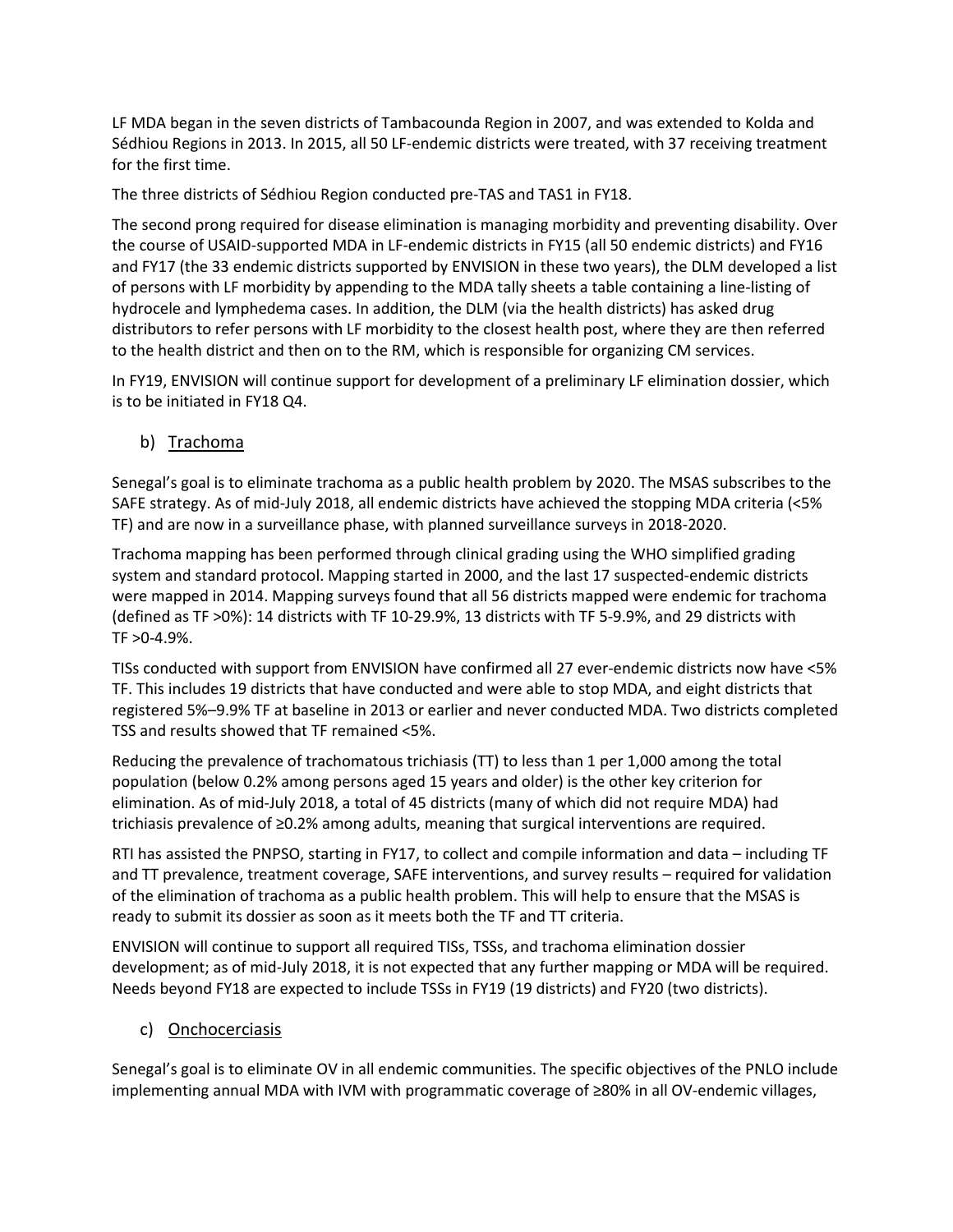LF MDA began in the seven districts of Tambacounda Region in 2007, and was extended to Kolda and Sédhiou Regions in 2013. In 2015, all 50 LF-endemic districts were treated, with 37 receiving treatment for the first time.

The three districts of Sédhiou Region conducted pre-TAS and TAS1 in FY18.

The second prong required for disease elimination is managing morbidity and preventing disability. Over the course of USAID-supported MDA in LF-endemic districts in FY15 (all 50 endemic districts) and FY16 and FY17 (the 33 endemic districts supported by ENVISION in these two years), the DLM developed a list of persons with LF morbidity by appending to the MDA tally sheets a table containing a line-listing of hydrocele and lymphedema cases. In addition, the DLM (via the health districts) has asked drug distributors to refer persons with LF morbidity to the closest health post, where they are then referred to the health district and then on to the RM, which is responsible for organizing CM services.

In FY19, ENVISION will continue support for development of a preliminary LF elimination dossier, which is to be initiated in FY18 Q4.

b) Trachoma

Senegal's goal is to eliminate trachoma as a public health problem by 2020. The MSAS subscribes to the SAFE strategy. As of mid-July 2018, all endemic districts have achieved the stopping MDA criteria (<5% TF) and are now in a surveillance phase, with planned surveillance surveys in 2018-2020.

Trachoma mapping has been performed through clinical grading using the WHO simplified grading system and standard protocol. Mapping started in 2000, and the last 17 suspected-endemic districts were mapped in 2014. Mapping surveys found that all 56 districts mapped were endemic for trachoma (defined as TF >0%): 14 districts with TF 10-29.9%, 13 districts with TF 5-9.9%, and 29 districts with TF >0-4.9%.

TISs conducted with support from ENVISION have confirmed all 27 ever-endemic districts now have <5% TF. This includes 19 districts that have conducted and were able to stop MDA, and eight districts that registered 5%–9.9% TF at baseline in 2013 or earlier and never conducted MDA. Two districts completed TSS and results showed that TF remained <5%.

Reducing the prevalence of trachomatous trichiasis (TT) to less than 1 per 1,000 among the total population (below 0.2% among persons aged 15 years and older) is the other key criterion for elimination. As of mid-July 2018, a total of 45 districts (many of which did not require MDA) had trichiasis prevalence of ≥0.2% among adults, meaning that surgical interventions are required.

RTI has assisted the PNPSO, starting in FY17, to collect and compile information and data – including TF and TT prevalence, treatment coverage, SAFE interventions, and survey results – required for validation of the elimination of trachoma as a public health problem. This will help to ensure that the MSAS is ready to submit its dossier as soon as it meets both the TF and TT criteria.

ENVISION will continue to support all required TISs, TSSs, and trachoma elimination dossier development; as of mid-July 2018, it is not expected that any further mapping or MDA will be required. Needs beyond FY18 are expected to include TSSs in FY19 (19 districts) and FY20 (two districts).

c) Onchocerciasis

Senegal's goal is to eliminate OV in all endemic communities. The specific objectives of the PNLO include implementing annual MDA with IVM with programmatic coverage of ≥80% in all OV-endemic villages,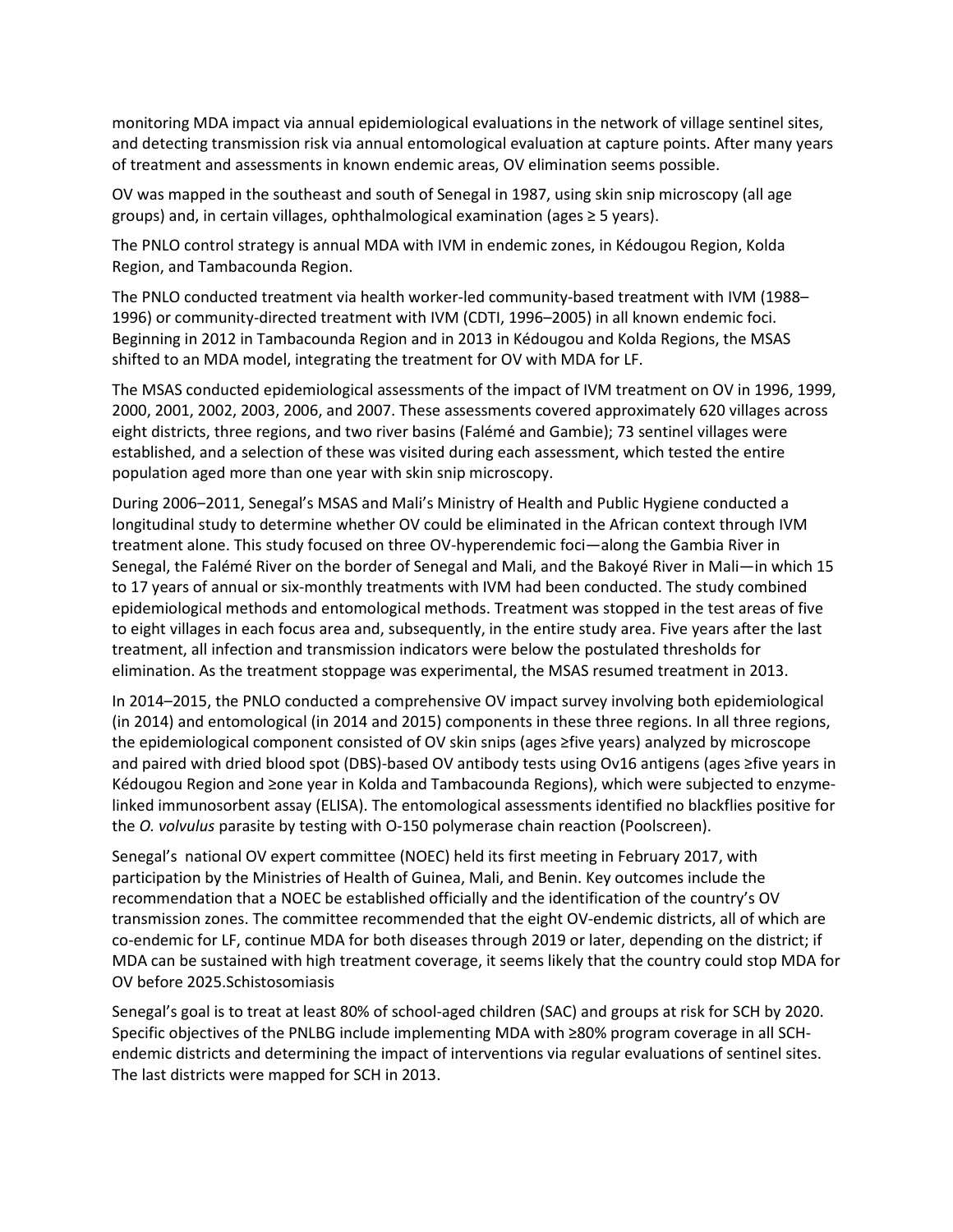monitoring MDA impact via annual epidemiological evaluations in the network of village sentinel sites, and detecting transmission risk via annual entomological evaluation at capture points. After many years of treatment and assessments in known endemic areas, OV elimination seems possible.

OV was mapped in the southeast and south of Senegal in 1987, using skin snip microscopy (all age groups) and, in certain villages, ophthalmological examination (ages ≥ 5 years).

The PNLO control strategy is annual MDA with IVM in endemic zones, in Kédougou Region, Kolda Region, and Tambacounda Region.

The PNLO conducted treatment via health worker-led community-based treatment with IVM (1988– 1996) or community-directed treatment with IVM (CDTI, 1996–2005) in all known endemic foci. Beginning in 2012 in Tambacounda Region and in 2013 in Kédougou and Kolda Regions, the MSAS shifted to an MDA model, integrating the treatment for OV with MDA for LF.

The MSAS conducted epidemiological assessments of the impact of IVM treatment on OV in 1996, 1999, 2000, 2001, 2002, 2003, 2006, and 2007. These assessments covered approximately 620 villages across eight districts, three regions, and two river basins (Falémé and Gambie); 73 sentinel villages were established, and a selection of these was visited during each assessment, which tested the entire population aged more than one year with skin snip microscopy.

During 2006-2011, Senegal's MSAS and Mali's Ministry of Health and Public Hygiene conducted a longitudinal study to determine whether OV could be eliminated in the African context through IVM treatment alone. This study focused on three OV-hyperendemic foci—along the Gambia River in Senegal, the Falémé River on the border of Senegal and Mali, and the Bakoyé River in Mali—in which 15 to 17 years of annual or six-monthly treatments with IVM had been conducted. The study combined epidemiological methods and entomological methods. Treatment was stopped in the test areas of five to eight villages in each focus area and, subsequently, in the entire study area. Five years after the last treatment, all infection and transmission indicators were below the postulated thresholds for elimination. As the treatment stoppage was experimental, the MSAS resumed treatment in 2013.

In 2014–2015, the PNLO conducted a comprehensive OV impact survey involving both epidemiological (in 2014) and entomological (in 2014 and 2015) components in these three regions. In all three regions, the epidemiological component consisted of OV skin snips (ages ≥five years) analyzed by microscope and paired with dried blood spot (DBS)-based OV antibody tests using Ov16 antigens (ages ≥five years in Kédougou Region and ≥one year in Kolda and Tambacounda Regions), which were subjected to enzymelinked immunosorbent assay (ELISA). The entomological assessments identified no blackflies positive for the O. volvulus parasite by testing with O-150 polymerase chain reaction (Poolscreen).

Senegal's national OV expert committee (NOEC) held its first meeting in February 2017, with participation by the Ministries of Health of Guinea, Mali, and Benin. Key outcomes include the recommendation that a NOEC be established officially and the identification of the country's OV transmission zones. The committee recommended that the eight OV-endemic districts, all of which are co-endemic for LF, continue MDA for both diseases through 2019 or later, depending on the district; if MDA can be sustained with high treatment coverage, it seems likely that the country could stop MDA for OV before 2025.Schistosomiasis

Senegal's goal is to treat at least 80% of school-aged children (SAC) and groups at risk for SCH by 2020. Specific objectives of the PNLBG include implementing MDA with ≥80% program coverage in all SCHendemic districts and determining the impact of interventions via regular evaluations of sentinel sites. The last districts were mapped for SCH in 2013.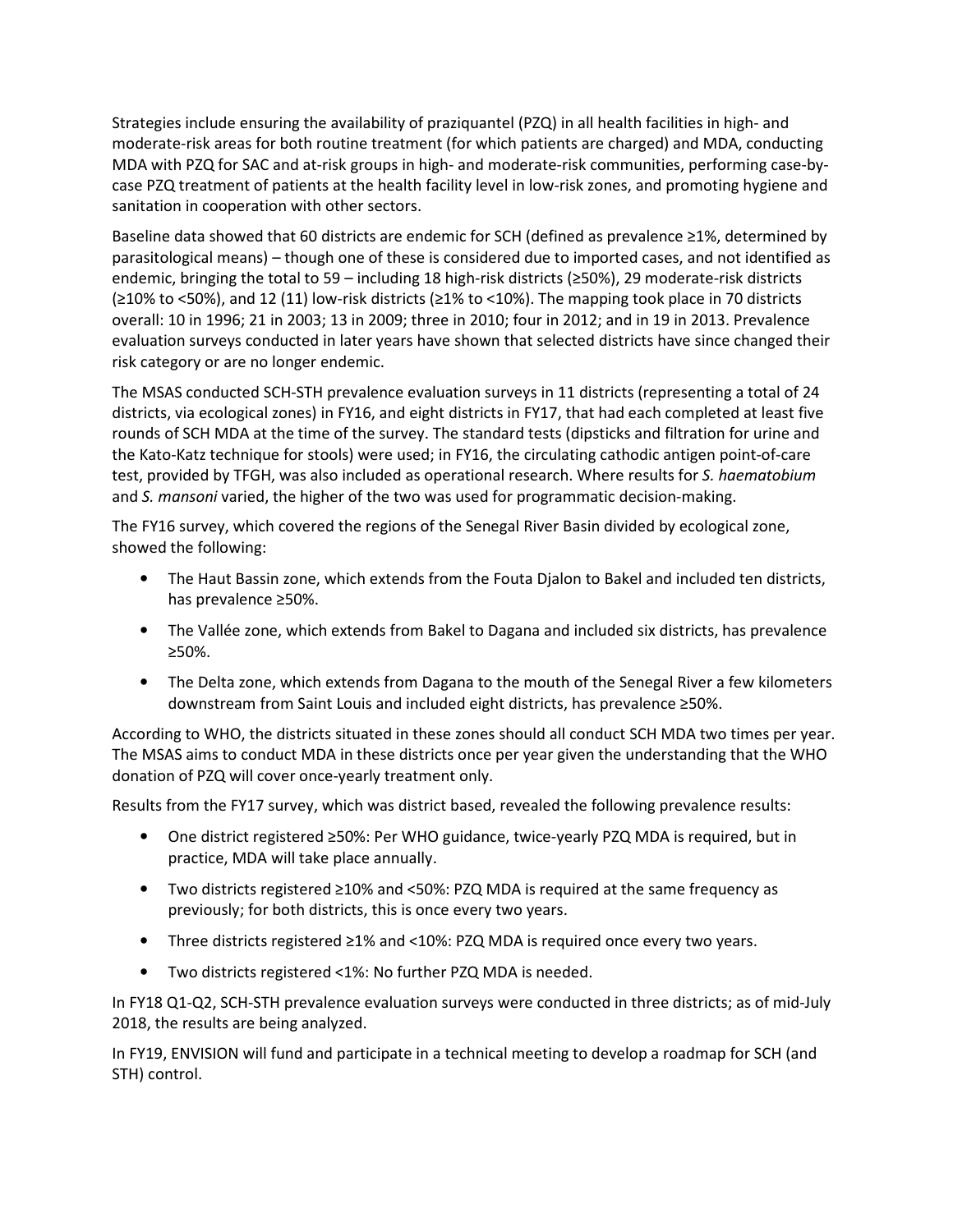Strategies include ensuring the availability of praziquantel (PZQ) in all health facilities in high- and moderate-risk areas for both routine treatment (for which patients are charged) and MDA, conducting MDA with PZQ for SAC and at-risk groups in high- and moderate-risk communities, performing case-bycase PZQ treatment of patients at the health facility level in low-risk zones, and promoting hygiene and sanitation in cooperation with other sectors.

Baseline data showed that 60 districts are endemic for SCH (defined as prevalence ≥1%, determined by parasitological means) – though one of these is considered due to imported cases, and not identified as endemic, bringing the total to 59 – including 18 high-risk districts (≥50%), 29 moderate-risk districts (≥10% to <50%), and 12 (11) low-risk districts (≥1% to <10%). The mapping took place in 70 districts overall: 10 in 1996; 21 in 2003; 13 in 2009; three in 2010; four in 2012; and in 19 in 2013. Prevalence evaluation surveys conducted in later years have shown that selected districts have since changed their risk category or are no longer endemic.

The MSAS conducted SCH-STH prevalence evaluation surveys in 11 districts (representing a total of 24 districts, via ecological zones) in FY16, and eight districts in FY17, that had each completed at least five rounds of SCH MDA at the time of the survey. The standard tests (dipsticks and filtration for urine and the Kato-Katz technique for stools) were used; in FY16, the circulating cathodic antigen point-of-care test, provided by TFGH, was also included as operational research. Where results for S. haematobium and S. mansoni varied, the higher of the two was used for programmatic decision-making.

The FY16 survey, which covered the regions of the Senegal River Basin divided by ecological zone, showed the following:

- The Haut Bassin zone, which extends from the Fouta Djalon to Bakel and included ten districts, has prevalence ≥50%.
- The Vallée zone, which extends from Bakel to Dagana and included six districts, has prevalence ≥50%.
- The Delta zone, which extends from Dagana to the mouth of the Senegal River a few kilometers downstream from Saint Louis and included eight districts, has prevalence ≥50%.

According to WHO, the districts situated in these zones should all conduct SCH MDA two times per year. The MSAS aims to conduct MDA in these districts once per year given the understanding that the WHO donation of PZQ will cover once-yearly treatment only.

Results from the FY17 survey, which was district based, revealed the following prevalence results:

- One district registered ≥50%: Per WHO guidance, twice-yearly PZQ MDA is required, but in practice, MDA will take place annually.
- Two districts registered ≥10% and <50%: PZQ MDA is required at the same frequency as previously; for both districts, this is once every two years.
- Three districts registered ≥1% and <10%: PZQ MDA is required once every two years.
- Two districts registered <1%: No further PZQ MDA is needed.

In FY18 Q1-Q2, SCH-STH prevalence evaluation surveys were conducted in three districts; as of mid-July 2018, the results are being analyzed.

In FY19, ENVISION will fund and participate in a technical meeting to develop a roadmap for SCH (and STH) control.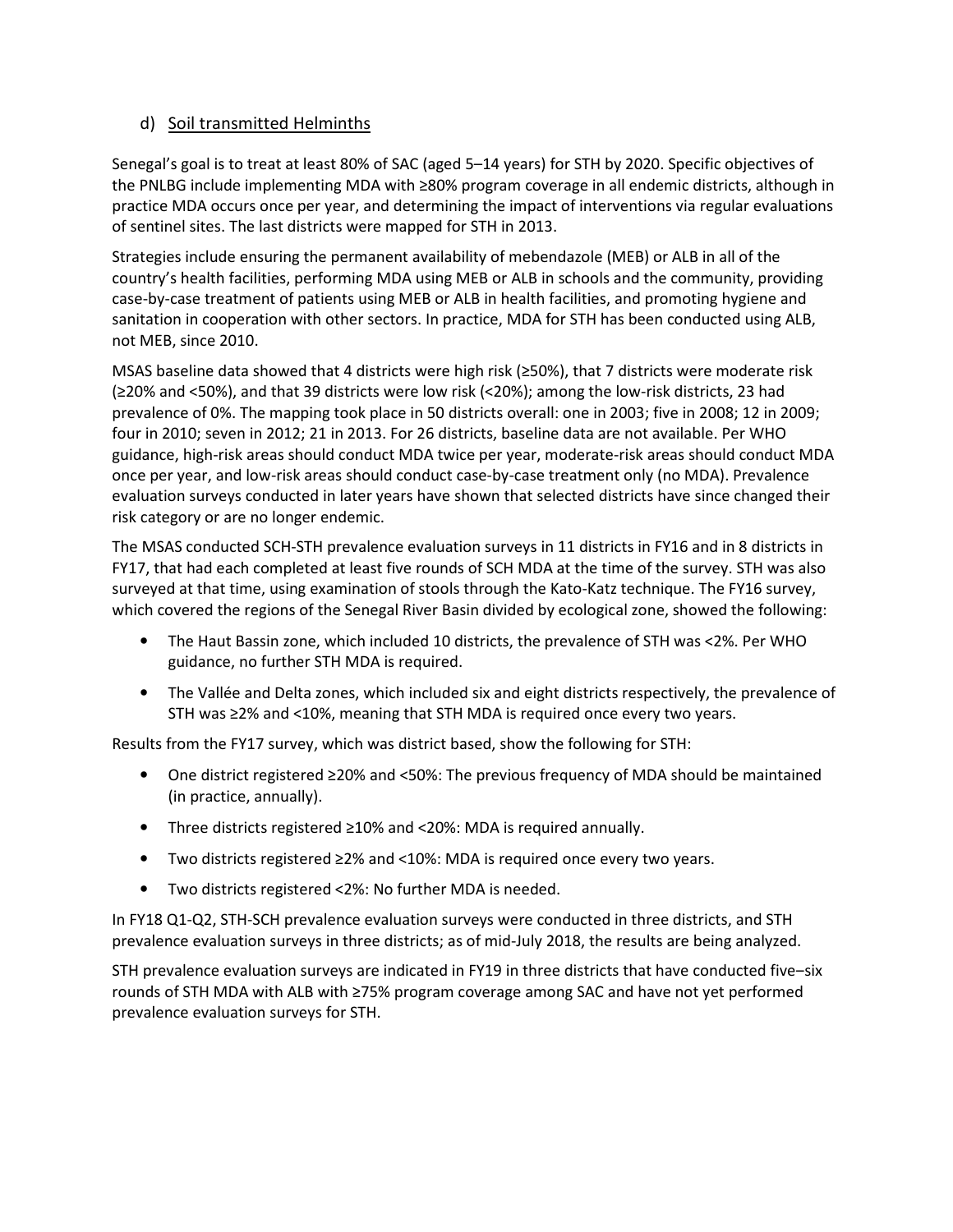#### d) Soil transmitted Helminths

Senegal's goal is to treat at least 80% of SAC (aged 5–14 years) for STH by 2020. Specific objectives of the PNLBG include implementing MDA with ≥80% program coverage in all endemic districts, although in practice MDA occurs once per year, and determining the impact of interventions via regular evaluations of sentinel sites. The last districts were mapped for STH in 2013.

Strategies include ensuring the permanent availability of mebendazole (MEB) or ALB in all of the country's health facilities, performing MDA using MEB or ALB in schools and the community, providing case-by-case treatment of patients using MEB or ALB in health facilities, and promoting hygiene and sanitation in cooperation with other sectors. In practice, MDA for STH has been conducted using ALB, not MEB, since 2010.

MSAS baseline data showed that 4 districts were high risk (≥50%), that 7 districts were moderate risk (≥20% and <50%), and that 39 districts were low risk (<20%); among the low-risk districts, 23 had prevalence of 0%. The mapping took place in 50 districts overall: one in 2003; five in 2008; 12 in 2009; four in 2010; seven in 2012; 21 in 2013. For 26 districts, baseline data are not available. Per WHO guidance, high-risk areas should conduct MDA twice per year, moderate-risk areas should conduct MDA once per year, and low-risk areas should conduct case-by-case treatment only (no MDA). Prevalence evaluation surveys conducted in later years have shown that selected districts have since changed their risk category or are no longer endemic.

The MSAS conducted SCH-STH prevalence evaluation surveys in 11 districts in FY16 and in 8 districts in FY17, that had each completed at least five rounds of SCH MDA at the time of the survey. STH was also surveyed at that time, using examination of stools through the Kato-Katz technique. The FY16 survey, which covered the regions of the Senegal River Basin divided by ecological zone, showed the following:

- The Haut Bassin zone, which included 10 districts, the prevalence of STH was <2%. Per WHO guidance, no further STH MDA is required.
- The Vallée and Delta zones, which included six and eight districts respectively, the prevalence of STH was ≥2% and <10%, meaning that STH MDA is required once every two years.

Results from the FY17 survey, which was district based, show the following for STH:

- One district registered ≥20% and <50%: The previous frequency of MDA should be maintained (in practice, annually).
- Three districts registered ≥10% and <20%: MDA is required annually.
- Two districts registered ≥2% and <10%: MDA is required once every two years.
- Two districts registered <2%: No further MDA is needed.

In FY18 Q1-Q2, STH-SCH prevalence evaluation surveys were conducted in three districts, and STH prevalence evaluation surveys in three districts; as of mid-July 2018, the results are being analyzed.

STH prevalence evaluation surveys are indicated in FY19 in three districts that have conducted five-six rounds of STH MDA with ALB with ≥75% program coverage among SAC and have not yet performed prevalence evaluation surveys for STH.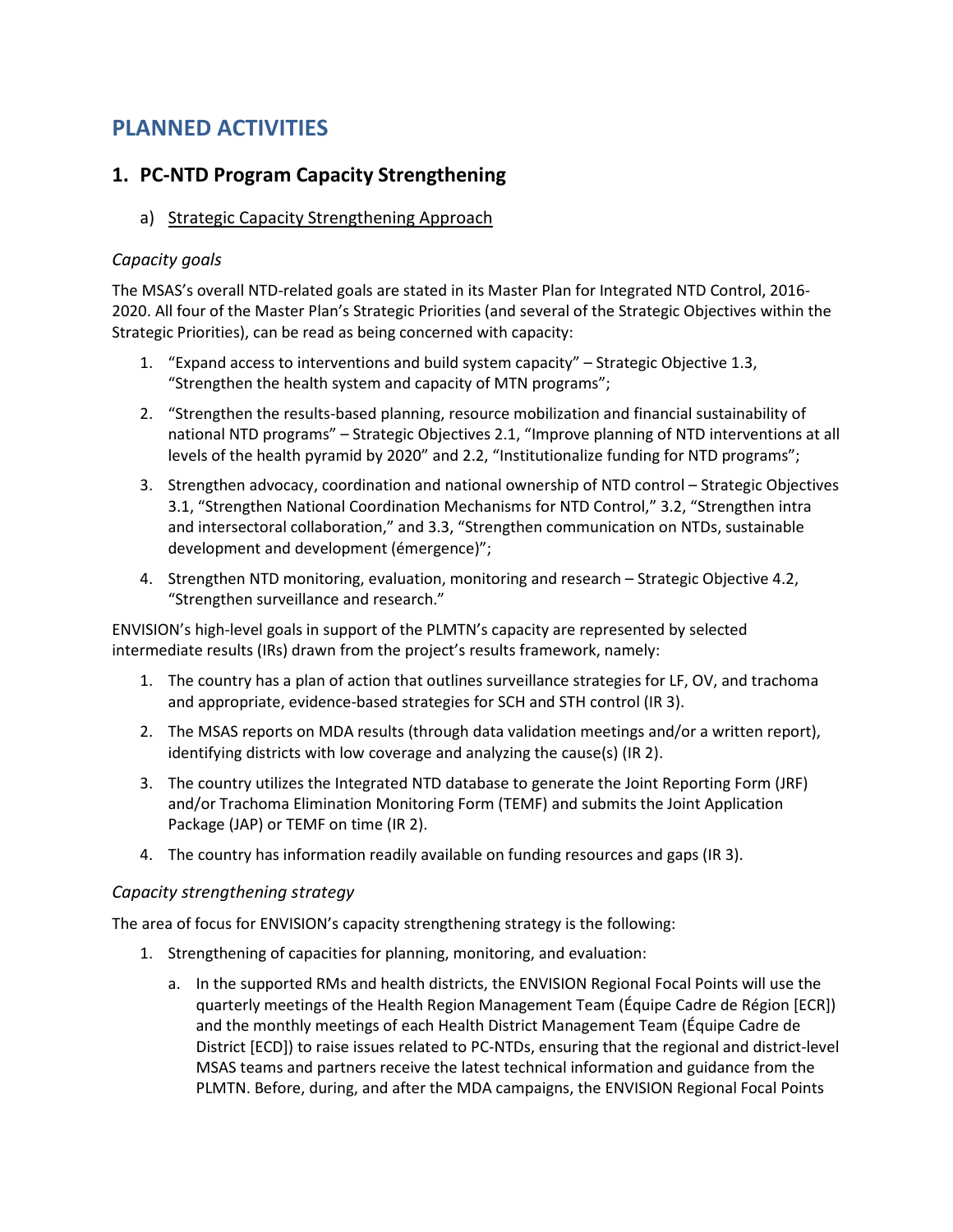## PLANNED ACTIVITIES

#### 1. PC-NTD Program Capacity Strengthening

a) Strategic Capacity Strengthening Approach

#### Capacity goals

The MSAS's overall NTD-related goals are stated in its Master Plan for Integrated NTD Control, 2016- 2020. All four of the Master Plan's Strategic Priorities (and several of the Strategic Objectives within the Strategic Priorities), can be read as being concerned with capacity:

- 1. "Expand access to interventions and build system capacity" Strategic Objective 1.3, "Strengthen the health system and capacity of MTN programs";
- 2. "Strengthen the results-based planning, resource mobilization and financial sustainability of national NTD programs" – Strategic Objectives 2.1, "Improve planning of NTD interventions at all levels of the health pyramid by 2020" and 2.2, "Institutionalize funding for NTD programs";
- 3. Strengthen advocacy, coordination and national ownership of NTD control Strategic Objectives 3.1, "Strengthen National Coordination Mechanisms for NTD Control," 3.2, "Strengthen intra and intersectoral collaboration," and 3.3, "Strengthen communication on NTDs, sustainable development and development (émergence)";
- 4. Strengthen NTD monitoring, evaluation, monitoring and research Strategic Objective 4.2, "Strengthen surveillance and research."

ENVISION's high-level goals in support of the PLMTN's capacity are represented by selected intermediate results (IRs) drawn from the project's results framework, namely:

- 1. The country has a plan of action that outlines surveillance strategies for LF, OV, and trachoma and appropriate, evidence-based strategies for SCH and STH control (IR 3).
- 2. The MSAS reports on MDA results (through data validation meetings and/or a written report), identifying districts with low coverage and analyzing the cause(s) (IR 2).
- 3. The country utilizes the Integrated NTD database to generate the Joint Reporting Form (JRF) and/or Trachoma Elimination Monitoring Form (TEMF) and submits the Joint Application Package (JAP) or TEMF on time (IR 2).
- 4. The country has information readily available on funding resources and gaps (IR 3).

#### Capacity strengthening strategy

The area of focus for ENVISION's capacity strengthening strategy is the following:

- 1. Strengthening of capacities for planning, monitoring, and evaluation:
	- a. In the supported RMs and health districts, the ENVISION Regional Focal Points will use the quarterly meetings of the Health Region Management Team (Équipe Cadre de Région [ECR]) and the monthly meetings of each Health District Management Team (Équipe Cadre de District [ECD]) to raise issues related to PC-NTDs, ensuring that the regional and district-level MSAS teams and partners receive the latest technical information and guidance from the PLMTN. Before, during, and after the MDA campaigns, the ENVISION Regional Focal Points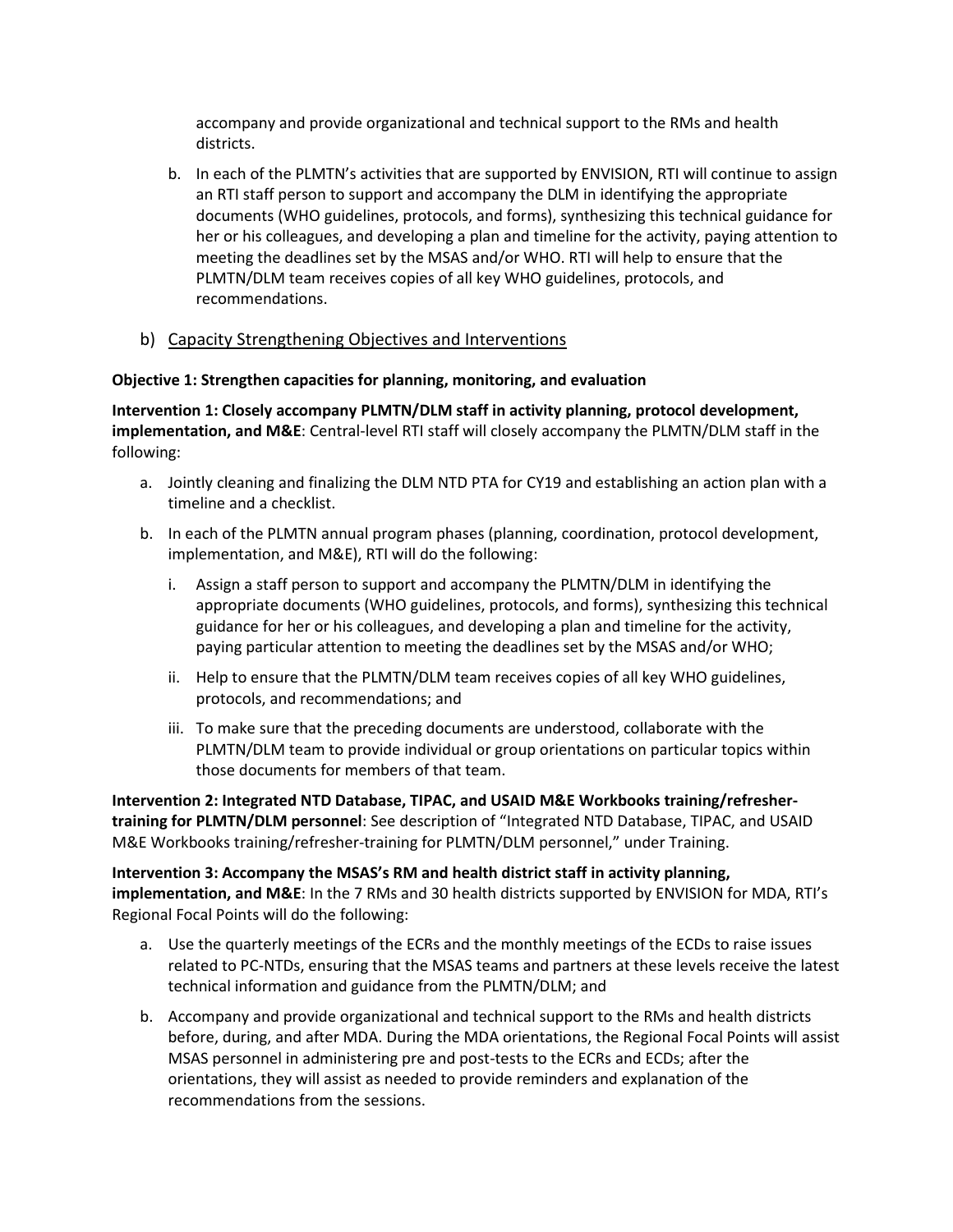accompany and provide organizational and technical support to the RMs and health districts.

- b. In each of the PLMTN's activities that are supported by ENVISION, RTI will continue to assign an RTI staff person to support and accompany the DLM in identifying the appropriate documents (WHO guidelines, protocols, and forms), synthesizing this technical guidance for her or his colleagues, and developing a plan and timeline for the activity, paying attention to meeting the deadlines set by the MSAS and/or WHO. RTI will help to ensure that the PLMTN/DLM team receives copies of all key WHO guidelines, protocols, and recommendations.
- b) Capacity Strengthening Objectives and Interventions

#### Objective 1: Strengthen capacities for planning, monitoring, and evaluation

Intervention 1: Closely accompany PLMTN/DLM staff in activity planning, protocol development, implementation, and M&E: Central-level RTI staff will closely accompany the PLMTN/DLM staff in the following:

- a. Jointly cleaning and finalizing the DLM NTD PTA for CY19 and establishing an action plan with a timeline and a checklist.
- b. In each of the PLMTN annual program phases (planning, coordination, protocol development, implementation, and M&E), RTI will do the following:
	- i. Assign a staff person to support and accompany the PLMTN/DLM in identifying the appropriate documents (WHO guidelines, protocols, and forms), synthesizing this technical guidance for her or his colleagues, and developing a plan and timeline for the activity, paying particular attention to meeting the deadlines set by the MSAS and/or WHO;
	- ii. Help to ensure that the PLMTN/DLM team receives copies of all key WHO guidelines, protocols, and recommendations; and
	- iii. To make sure that the preceding documents are understood, collaborate with the PLMTN/DLM team to provide individual or group orientations on particular topics within those documents for members of that team.

Intervention 2: Integrated NTD Database, TIPAC, and USAID M&E Workbooks training/refreshertraining for PLMTN/DLM personnel: See description of "Integrated NTD Database, TIPAC, and USAID M&E Workbooks training/refresher-training for PLMTN/DLM personnel," under Training.

Intervention 3: Accompany the MSAS's RM and health district staff in activity planning, implementation, and M&E: In the 7 RMs and 30 health districts supported by ENVISION for MDA, RTI's Regional Focal Points will do the following:

- a. Use the quarterly meetings of the ECRs and the monthly meetings of the ECDs to raise issues related to PC-NTDs, ensuring that the MSAS teams and partners at these levels receive the latest technical information and guidance from the PLMTN/DLM; and
- b. Accompany and provide organizational and technical support to the RMs and health districts before, during, and after MDA. During the MDA orientations, the Regional Focal Points will assist MSAS personnel in administering pre and post-tests to the ECRs and ECDs; after the orientations, they will assist as needed to provide reminders and explanation of the recommendations from the sessions.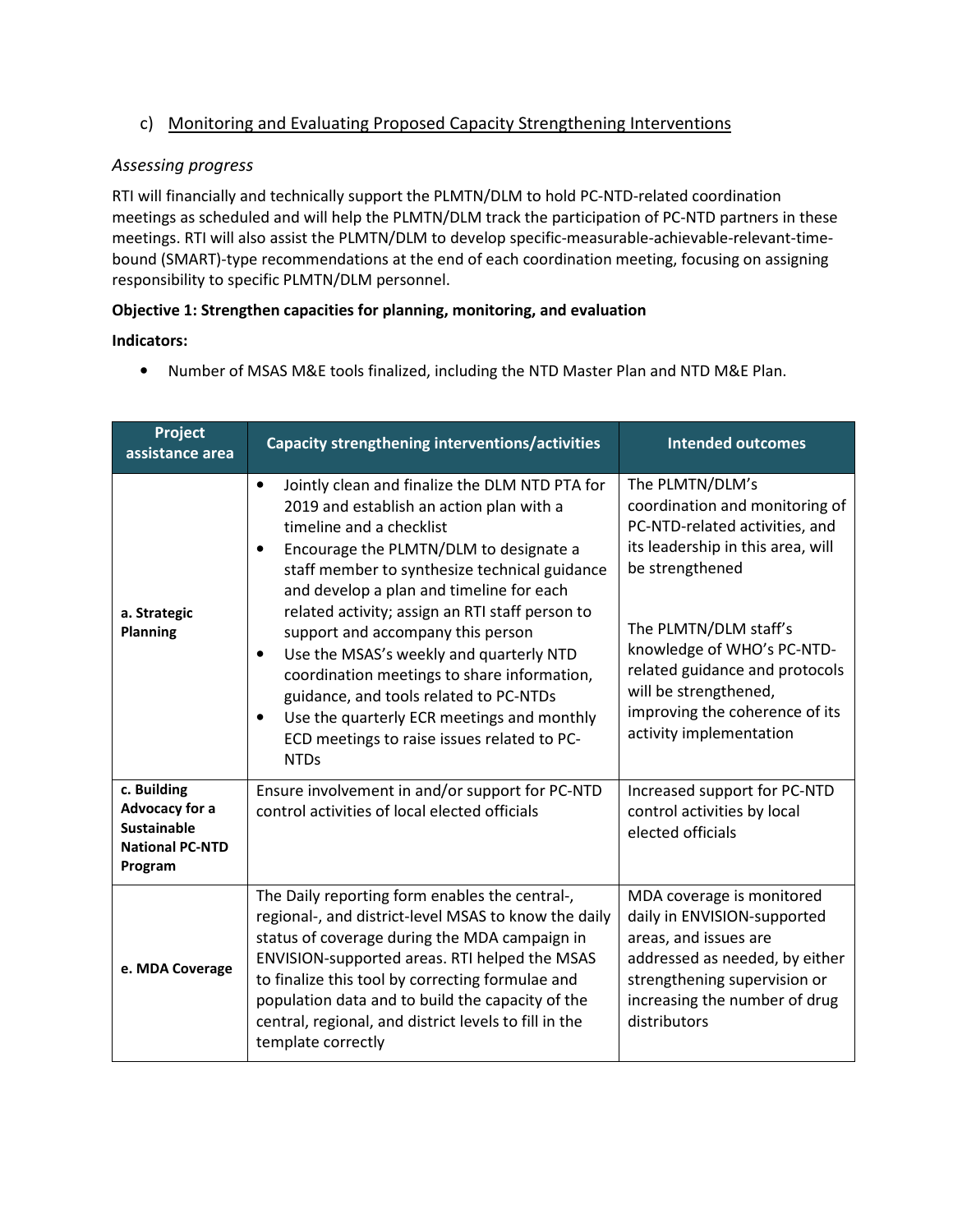#### c) Monitoring and Evaluating Proposed Capacity Strengthening Interventions

#### Assessing progress

RTI will financially and technically support the PLMTN/DLM to hold PC-NTD-related coordination meetings as scheduled and will help the PLMTN/DLM track the participation of PC-NTD partners in these meetings. RTI will also assist the PLMTN/DLM to develop specific-measurable-achievable-relevant-timebound (SMART)-type recommendations at the end of each coordination meeting, focusing on assigning responsibility to specific PLMTN/DLM personnel.

#### Objective 1: Strengthen capacities for planning, monitoring, and evaluation

#### Indicators:

• Number of MSAS M&E tools finalized, including the NTD Master Plan and NTD M&E Plan.

| Project<br>assistance area                                                               | Capacity strengthening interventions/activities                                                                                                                                                                                                                                                                                                                                                                                                                                                                                                                                                                                                           | <b>Intended outcomes</b>                                                                                                                                                                                                                                                                                                   |
|------------------------------------------------------------------------------------------|-----------------------------------------------------------------------------------------------------------------------------------------------------------------------------------------------------------------------------------------------------------------------------------------------------------------------------------------------------------------------------------------------------------------------------------------------------------------------------------------------------------------------------------------------------------------------------------------------------------------------------------------------------------|----------------------------------------------------------------------------------------------------------------------------------------------------------------------------------------------------------------------------------------------------------------------------------------------------------------------------|
| a. Strategic<br><b>Planning</b>                                                          | Jointly clean and finalize the DLM NTD PTA for<br>$\bullet$<br>2019 and establish an action plan with a<br>timeline and a checklist<br>Encourage the PLMTN/DLM to designate a<br>$\bullet$<br>staff member to synthesize technical guidance<br>and develop a plan and timeline for each<br>related activity; assign an RTI staff person to<br>support and accompany this person<br>Use the MSAS's weekly and quarterly NTD<br>$\bullet$<br>coordination meetings to share information,<br>guidance, and tools related to PC-NTDs<br>Use the quarterly ECR meetings and monthly<br>$\bullet$<br>ECD meetings to raise issues related to PC-<br><b>NTDs</b> | The PLMTN/DLM's<br>coordination and monitoring of<br>PC-NTD-related activities, and<br>its leadership in this area, will<br>be strengthened<br>The PLMTN/DLM staff's<br>knowledge of WHO's PC-NTD-<br>related guidance and protocols<br>will be strengthened,<br>improving the coherence of its<br>activity implementation |
| c. Building<br>Advocacy for a<br><b>Sustainable</b><br><b>National PC-NTD</b><br>Program | Ensure involvement in and/or support for PC-NTD<br>control activities of local elected officials                                                                                                                                                                                                                                                                                                                                                                                                                                                                                                                                                          | Increased support for PC-NTD<br>control activities by local<br>elected officials                                                                                                                                                                                                                                           |
| e. MDA Coverage                                                                          | The Daily reporting form enables the central-,<br>regional-, and district-level MSAS to know the daily<br>status of coverage during the MDA campaign in<br>ENVISION-supported areas. RTI helped the MSAS<br>to finalize this tool by correcting formulae and<br>population data and to build the capacity of the<br>central, regional, and district levels to fill in the<br>template correctly                                                                                                                                                                                                                                                           | MDA coverage is monitored<br>daily in ENVISION-supported<br>areas, and issues are<br>addressed as needed, by either<br>strengthening supervision or<br>increasing the number of drug<br>distributors                                                                                                                       |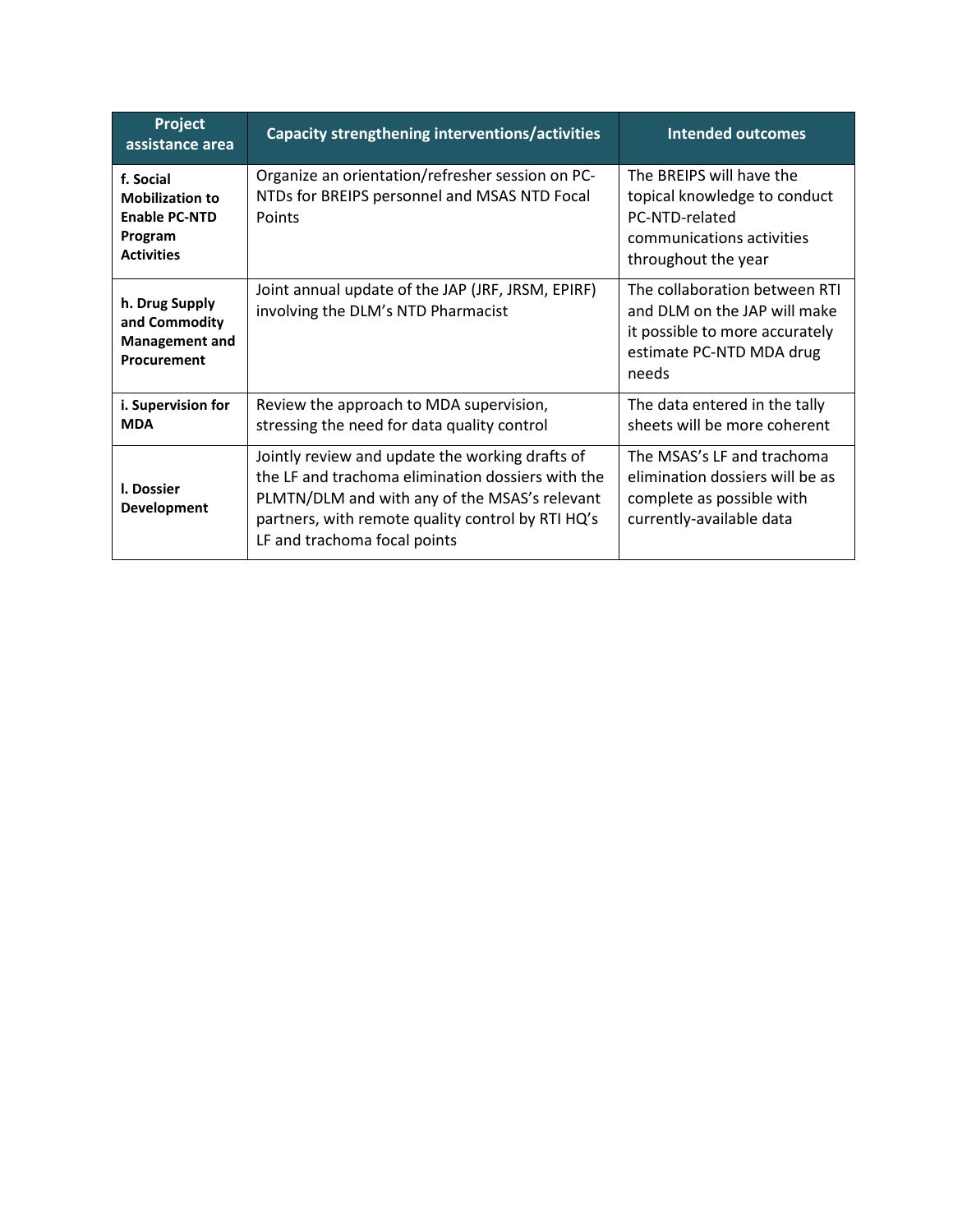| Project<br>assistance area                                                                  | Capacity strengthening interventions/activities                                                                                                                                                                                            | <b>Intended outcomes</b>                                                                                                             |
|---------------------------------------------------------------------------------------------|--------------------------------------------------------------------------------------------------------------------------------------------------------------------------------------------------------------------------------------------|--------------------------------------------------------------------------------------------------------------------------------------|
| f. Social<br><b>Mobilization to</b><br><b>Enable PC-NTD</b><br>Program<br><b>Activities</b> | Organize an orientation/refresher session on PC-<br>NTDs for BREIPS personnel and MSAS NTD Focal<br>Points                                                                                                                                 | The BREIPS will have the<br>topical knowledge to conduct<br>PC-NTD-related<br>communications activities<br>throughout the year       |
| h. Drug Supply<br>and Commodity<br><b>Management and</b><br>Procurement                     | Joint annual update of the JAP (JRF, JRSM, EPIRF)<br>involving the DLM's NTD Pharmacist                                                                                                                                                    | The collaboration between RTI<br>and DLM on the JAP will make<br>it possible to more accurately<br>estimate PC-NTD MDA drug<br>needs |
| i. Supervision for<br><b>MDA</b>                                                            | Review the approach to MDA supervision,<br>stressing the need for data quality control                                                                                                                                                     | The data entered in the tally<br>sheets will be more coherent                                                                        |
| I. Dossier<br><b>Development</b>                                                            | Jointly review and update the working drafts of<br>the LF and trachoma elimination dossiers with the<br>PLMTN/DLM and with any of the MSAS's relevant<br>partners, with remote quality control by RTI HQ's<br>LF and trachoma focal points | The MSAS's LF and trachoma<br>elimination dossiers will be as<br>complete as possible with<br>currently-available data               |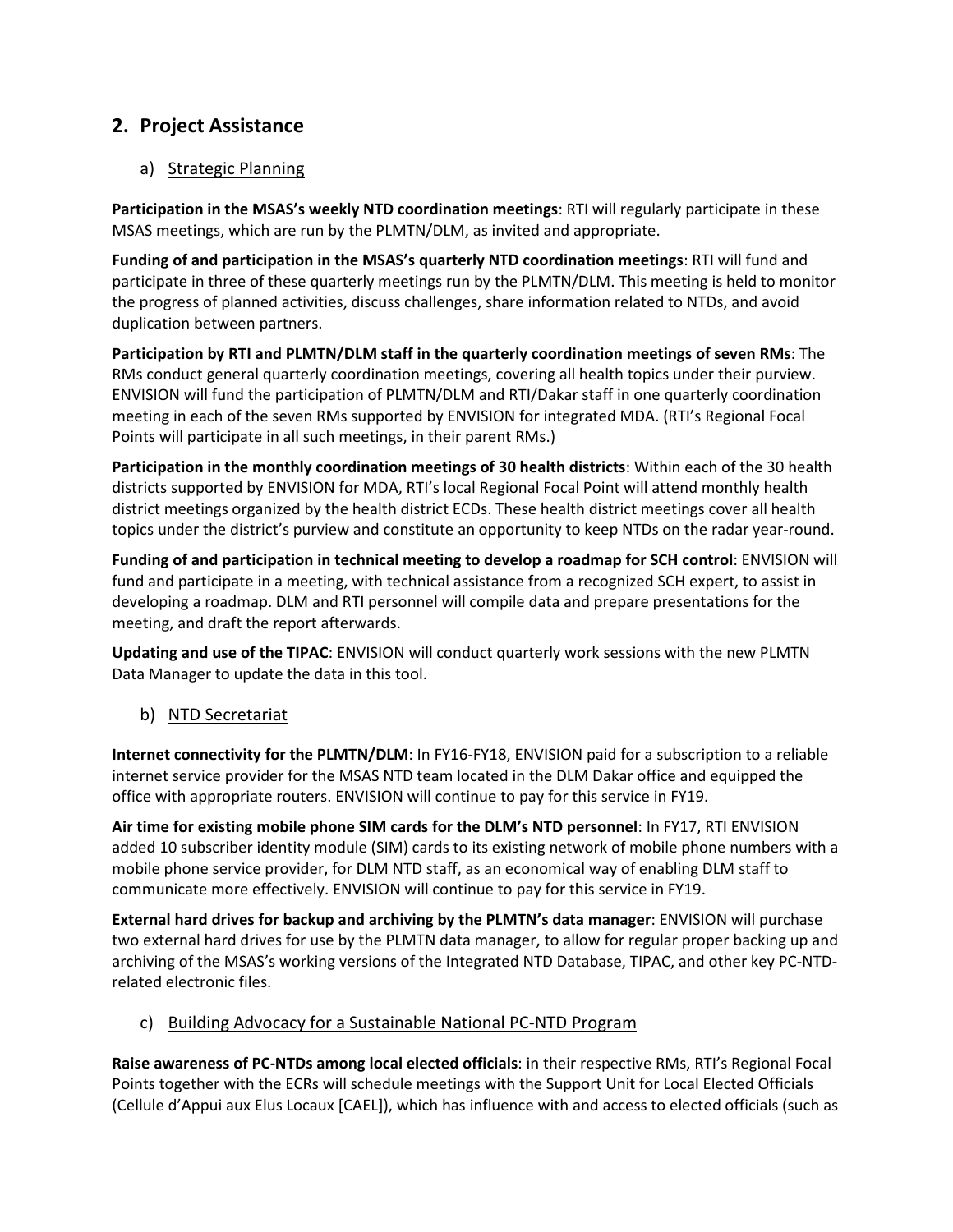### 2. Project Assistance

#### a) Strategic Planning

Participation in the MSAS's weekly NTD coordination meetings: RTI will regularly participate in these MSAS meetings, which are run by the PLMTN/DLM, as invited and appropriate.

Funding of and participation in the MSAS's quarterly NTD coordination meetings: RTI will fund and participate in three of these quarterly meetings run by the PLMTN/DLM. This meeting is held to monitor the progress of planned activities, discuss challenges, share information related to NTDs, and avoid duplication between partners.

Participation by RTI and PLMTN/DLM staff in the quarterly coordination meetings of seven RMs: The RMs conduct general quarterly coordination meetings, covering all health topics under their purview. ENVISION will fund the participation of PLMTN/DLM and RTI/Dakar staff in one quarterly coordination meeting in each of the seven RMs supported by ENVISION for integrated MDA. (RTI's Regional Focal Points will participate in all such meetings, in their parent RMs.)

Participation in the monthly coordination meetings of 30 health districts: Within each of the 30 health districts supported by ENVISION for MDA, RTI's local Regional Focal Point will attend monthly health district meetings organized by the health district ECDs. These health district meetings cover all health topics under the district's purview and constitute an opportunity to keep NTDs on the radar year-round.

Funding of and participation in technical meeting to develop a roadmap for SCH control: ENVISION will fund and participate in a meeting, with technical assistance from a recognized SCH expert, to assist in developing a roadmap. DLM and RTI personnel will compile data and prepare presentations for the meeting, and draft the report afterwards.

Updating and use of the TIPAC: ENVISION will conduct quarterly work sessions with the new PLMTN Data Manager to update the data in this tool.

b) NTD Secretariat

Internet connectivity for the PLMTN/DLM: In FY16-FY18, ENVISION paid for a subscription to a reliable internet service provider for the MSAS NTD team located in the DLM Dakar office and equipped the office with appropriate routers. ENVISION will continue to pay for this service in FY19.

Air time for existing mobile phone SIM cards for the DLM's NTD personnel: In FY17, RTI ENVISION added 10 subscriber identity module (SIM) cards to its existing network of mobile phone numbers with a mobile phone service provider, for DLM NTD staff, as an economical way of enabling DLM staff to communicate more effectively. ENVISION will continue to pay for this service in FY19.

External hard drives for backup and archiving by the PLMTN's data manager: ENVISION will purchase two external hard drives for use by the PLMTN data manager, to allow for regular proper backing up and archiving of the MSAS's working versions of the Integrated NTD Database, TIPAC, and other key PC-NTDrelated electronic files.

c) Building Advocacy for a Sustainable National PC-NTD Program

Raise awareness of PC-NTDs among local elected officials: in their respective RMs, RTI's Regional Focal Points together with the ECRs will schedule meetings with the Support Unit for Local Elected Officials (Cellule d'Appui aux Elus Locaux [CAEL]), which has influence with and access to elected officials (such as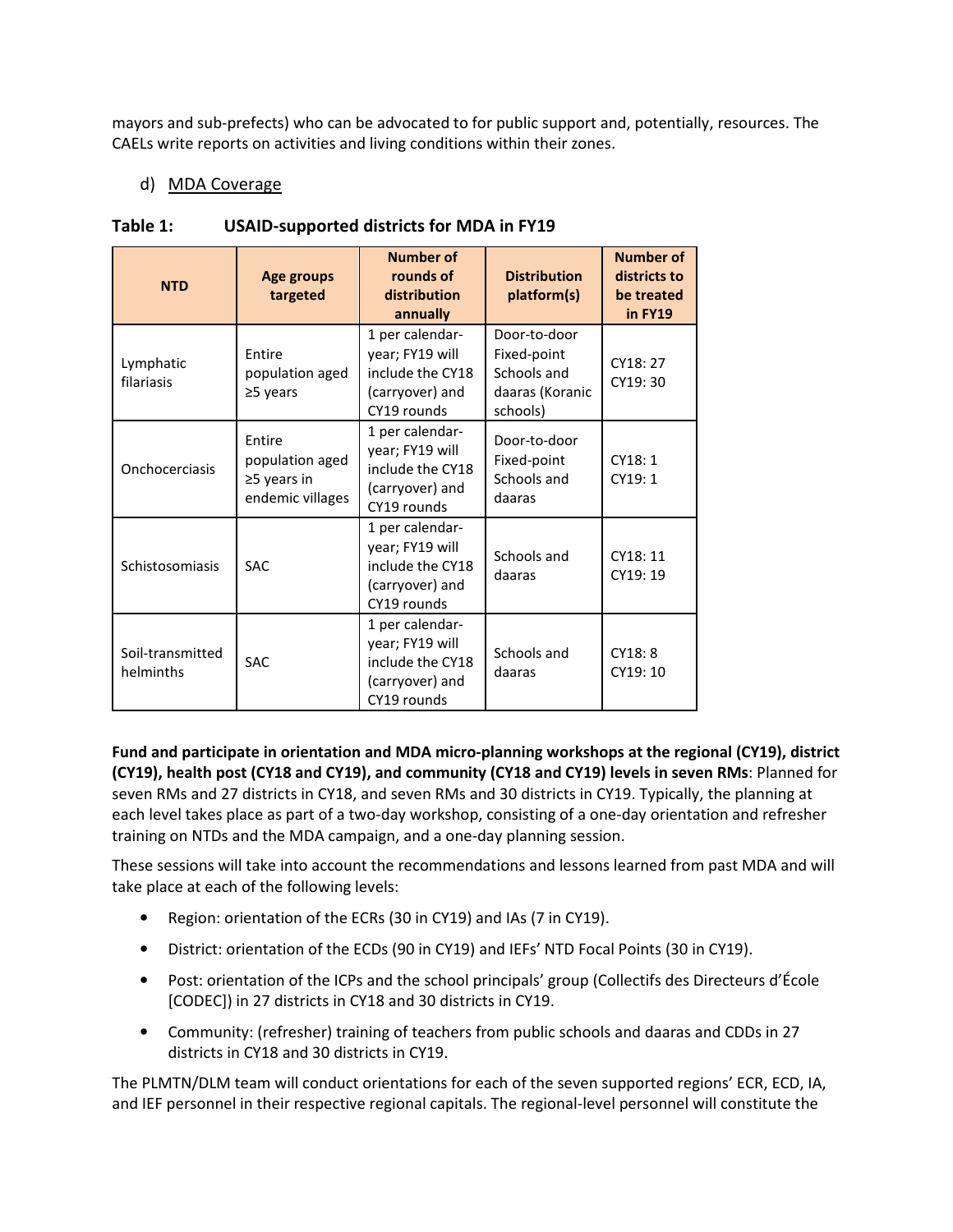mayors and sub-prefects) who can be advocated to for public support and, potentially, resources. The CAELs write reports on activities and living conditions within their zones.

#### d) MDA Coverage

| <b>NTD</b>                    | Age groups<br>targeted                                             | Number of<br>rounds of<br>distribution<br>annually                                                                                               | <b>Distribution</b><br>platform(s)                                        | <b>Number of</b><br>districts to<br>be treated<br>in FY19 |
|-------------------------------|--------------------------------------------------------------------|--------------------------------------------------------------------------------------------------------------------------------------------------|---------------------------------------------------------------------------|-----------------------------------------------------------|
| Lymphatic<br>filariasis       | Entire<br>population aged<br>$\geq$ 5 years                        | 1 per calendar-<br>year; FY19 will<br>include the CY18<br>(carryover) and<br>CY19 rounds                                                         | Door-to-door<br>Fixed-point<br>Schools and<br>daaras (Koranic<br>schools) | CY18: 27<br>CY19: 30                                      |
| Onchocerciasis                | Entire<br>population aged<br>$\geq$ 5 years in<br>endemic villages | 1 per calendar-<br>Door-to-door<br>year; FY19 will<br>Fixed-point<br>include the CY18<br>Schools and<br>(carryover) and<br>daaras<br>CY19 rounds |                                                                           | CY18: 1<br>CY19:1                                         |
| Schistosomiasis               | <b>SAC</b>                                                         | 1 per calendar-<br>year; FY19 will<br>include the CY18<br>(carryover) and<br>CY19 rounds                                                         | Schools and<br>daaras                                                     | CY18:11<br>CY19: 19                                       |
| Soil-transmitted<br>helminths | SAC                                                                | 1 per calendar-<br>year; FY19 will<br>include the CY18<br>(carryover) and<br>CY19 rounds                                                         | Schools and<br>daaras                                                     | CY18: 8<br>CY19: 10                                       |

#### Table 1: USAID-supported districts for MDA in FY19

Fund and participate in orientation and MDA micro-planning workshops at the regional (CY19), district (CY19), health post (CY18 and CY19), and community (CY18 and CY19) levels in seven RMs: Planned for seven RMs and 27 districts in CY18, and seven RMs and 30 districts in CY19. Typically, the planning at each level takes place as part of a two-day workshop, consisting of a one-day orientation and refresher training on NTDs and the MDA campaign, and a one-day planning session.

These sessions will take into account the recommendations and lessons learned from past MDA and will take place at each of the following levels:

- Region: orientation of the ECRs (30 in CY19) and IAs (7 in CY19).
- District: orientation of the ECDs (90 in CY19) and IEFs' NTD Focal Points (30 in CY19).
- Post: orientation of the ICPs and the school principals' group (Collectifs des Directeurs d'École [CODEC]) in 27 districts in CY18 and 30 districts in CY19.
- Community: (refresher) training of teachers from public schools and daaras and CDDs in 27 districts in CY18 and 30 districts in CY19.

The PLMTN/DLM team will conduct orientations for each of the seven supported regions' ECR, ECD, IA, and IEF personnel in their respective regional capitals. The regional-level personnel will constitute the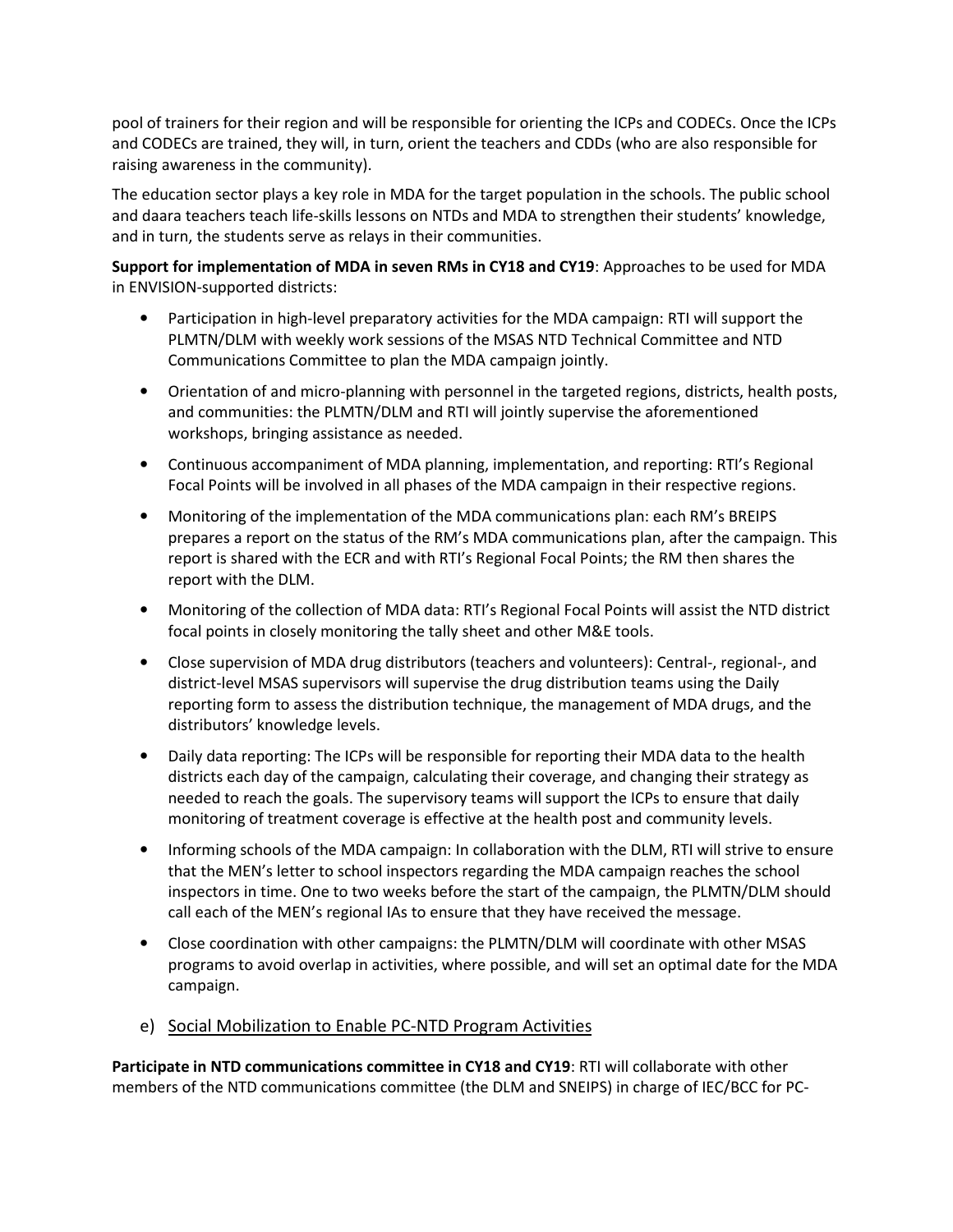pool of trainers for their region and will be responsible for orienting the ICPs and CODECs. Once the ICPs and CODECs are trained, they will, in turn, orient the teachers and CDDs (who are also responsible for raising awareness in the community).

The education sector plays a key role in MDA for the target population in the schools. The public school and daara teachers teach life-skills lessons on NTDs and MDA to strengthen their students' knowledge, and in turn, the students serve as relays in their communities.

Support for implementation of MDA in seven RMs in CY18 and CY19: Approaches to be used for MDA in ENVISION-supported districts:

- Participation in high-level preparatory activities for the MDA campaign: RTI will support the PLMTN/DLM with weekly work sessions of the MSAS NTD Technical Committee and NTD Communications Committee to plan the MDA campaign jointly.
- Orientation of and micro-planning with personnel in the targeted regions, districts, health posts, and communities: the PLMTN/DLM and RTI will jointly supervise the aforementioned workshops, bringing assistance as needed.
- Continuous accompaniment of MDA planning, implementation, and reporting: RTI's Regional Focal Points will be involved in all phases of the MDA campaign in their respective regions.
- Monitoring of the implementation of the MDA communications plan: each RM's BREIPS prepares a report on the status of the RM's MDA communications plan, after the campaign. This report is shared with the ECR and with RTI's Regional Focal Points; the RM then shares the report with the DLM.
- Monitoring of the collection of MDA data: RTI's Regional Focal Points will assist the NTD district focal points in closely monitoring the tally sheet and other M&E tools.
- Close supervision of MDA drug distributors (teachers and volunteers): Central-, regional-, and district-level MSAS supervisors will supervise the drug distribution teams using the Daily reporting form to assess the distribution technique, the management of MDA drugs, and the distributors' knowledge levels.
- Daily data reporting: The ICPs will be responsible for reporting their MDA data to the health districts each day of the campaign, calculating their coverage, and changing their strategy as needed to reach the goals. The supervisory teams will support the ICPs to ensure that daily monitoring of treatment coverage is effective at the health post and community levels.
- Informing schools of the MDA campaign: In collaboration with the DLM, RTI will strive to ensure that the MEN's letter to school inspectors regarding the MDA campaign reaches the school inspectors in time. One to two weeks before the start of the campaign, the PLMTN/DLM should call each of the MEN's regional IAs to ensure that they have received the message.
- Close coordination with other campaigns: the PLMTN/DLM will coordinate with other MSAS programs to avoid overlap in activities, where possible, and will set an optimal date for the MDA campaign.
- e) Social Mobilization to Enable PC-NTD Program Activities

Participate in NTD communications committee in CY18 and CY19: RTI will collaborate with other members of the NTD communications committee (the DLM and SNEIPS) in charge of IEC/BCC for PC-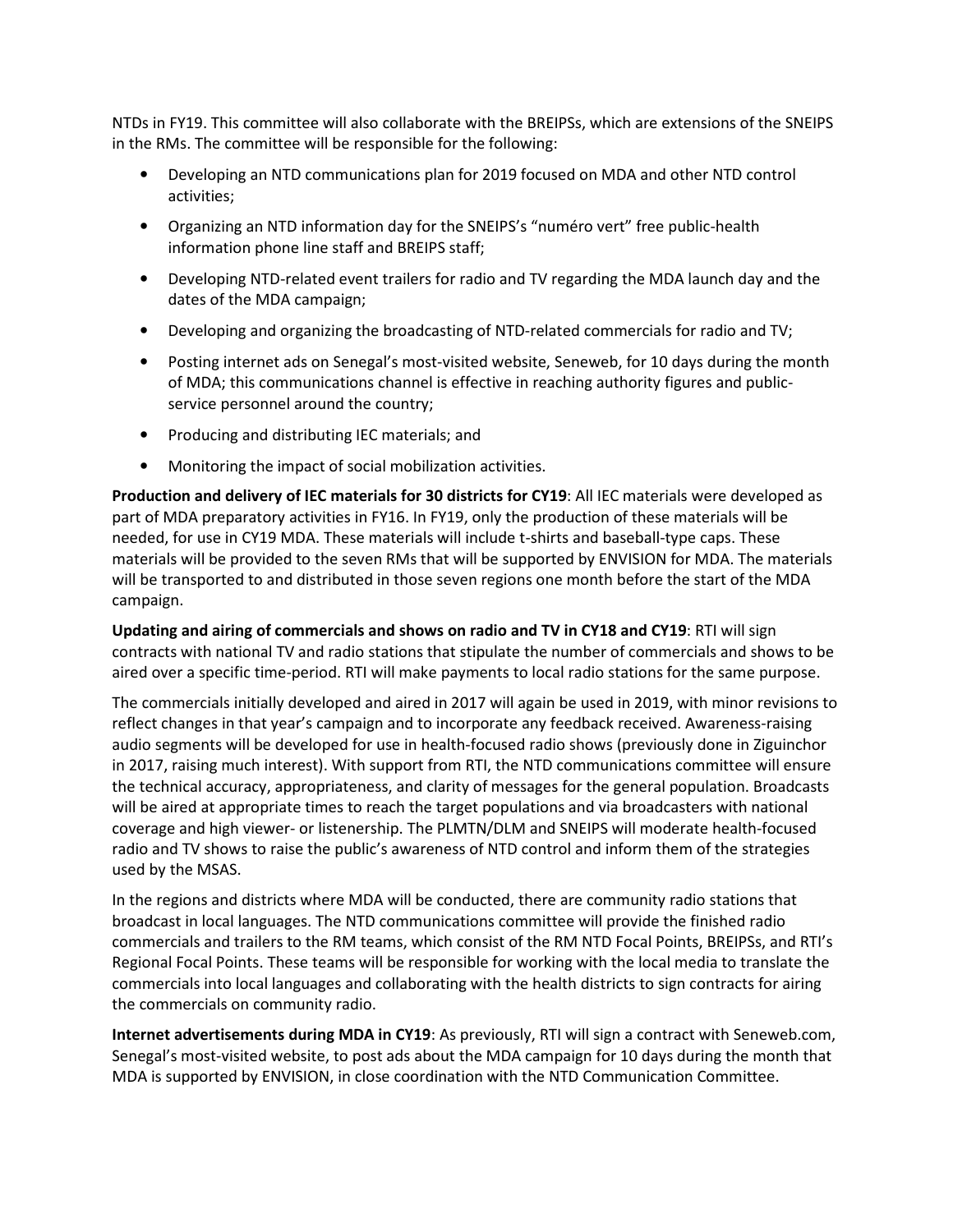NTDs in FY19. This committee will also collaborate with the BREIPSs, which are extensions of the SNEIPS in the RMs. The committee will be responsible for the following:

- Developing an NTD communications plan for 2019 focused on MDA and other NTD control activities;
- Organizing an NTD information day for the SNEIPS's "numéro vert" free public-health information phone line staff and BREIPS staff;
- Developing NTD-related event trailers for radio and TV regarding the MDA launch day and the dates of the MDA campaign;
- Developing and organizing the broadcasting of NTD-related commercials for radio and TV;
- Posting internet ads on Senegal's most-visited website, Seneweb, for 10 days during the month of MDA; this communications channel is effective in reaching authority figures and publicservice personnel around the country;
- Producing and distributing IEC materials; and
- Monitoring the impact of social mobilization activities.

Production and delivery of IEC materials for 30 districts for CY19: All IEC materials were developed as part of MDA preparatory activities in FY16. In FY19, only the production of these materials will be needed, for use in CY19 MDA. These materials will include t-shirts and baseball-type caps. These materials will be provided to the seven RMs that will be supported by ENVISION for MDA. The materials will be transported to and distributed in those seven regions one month before the start of the MDA campaign.

Updating and airing of commercials and shows on radio and TV in CY18 and CY19: RTI will sign contracts with national TV and radio stations that stipulate the number of commercials and shows to be aired over a specific time-period. RTI will make payments to local radio stations for the same purpose.

The commercials initially developed and aired in 2017 will again be used in 2019, with minor revisions to reflect changes in that year's campaign and to incorporate any feedback received. Awareness-raising audio segments will be developed for use in health-focused radio shows (previously done in Ziguinchor in 2017, raising much interest). With support from RTI, the NTD communications committee will ensure the technical accuracy, appropriateness, and clarity of messages for the general population. Broadcasts will be aired at appropriate times to reach the target populations and via broadcasters with national coverage and high viewer- or listenership. The PLMTN/DLM and SNEIPS will moderate health-focused radio and TV shows to raise the public's awareness of NTD control and inform them of the strategies used by the MSAS.

In the regions and districts where MDA will be conducted, there are community radio stations that broadcast in local languages. The NTD communications committee will provide the finished radio commercials and trailers to the RM teams, which consist of the RM NTD Focal Points, BREIPSs, and RTI's Regional Focal Points. These teams will be responsible for working with the local media to translate the commercials into local languages and collaborating with the health districts to sign contracts for airing the commercials on community radio.

Internet advertisements during MDA in CY19: As previously, RTI will sign a contract with Seneweb.com, Senegal's most-visited website, to post ads about the MDA campaign for 10 days during the month that MDA is supported by ENVISION, in close coordination with the NTD Communication Committee.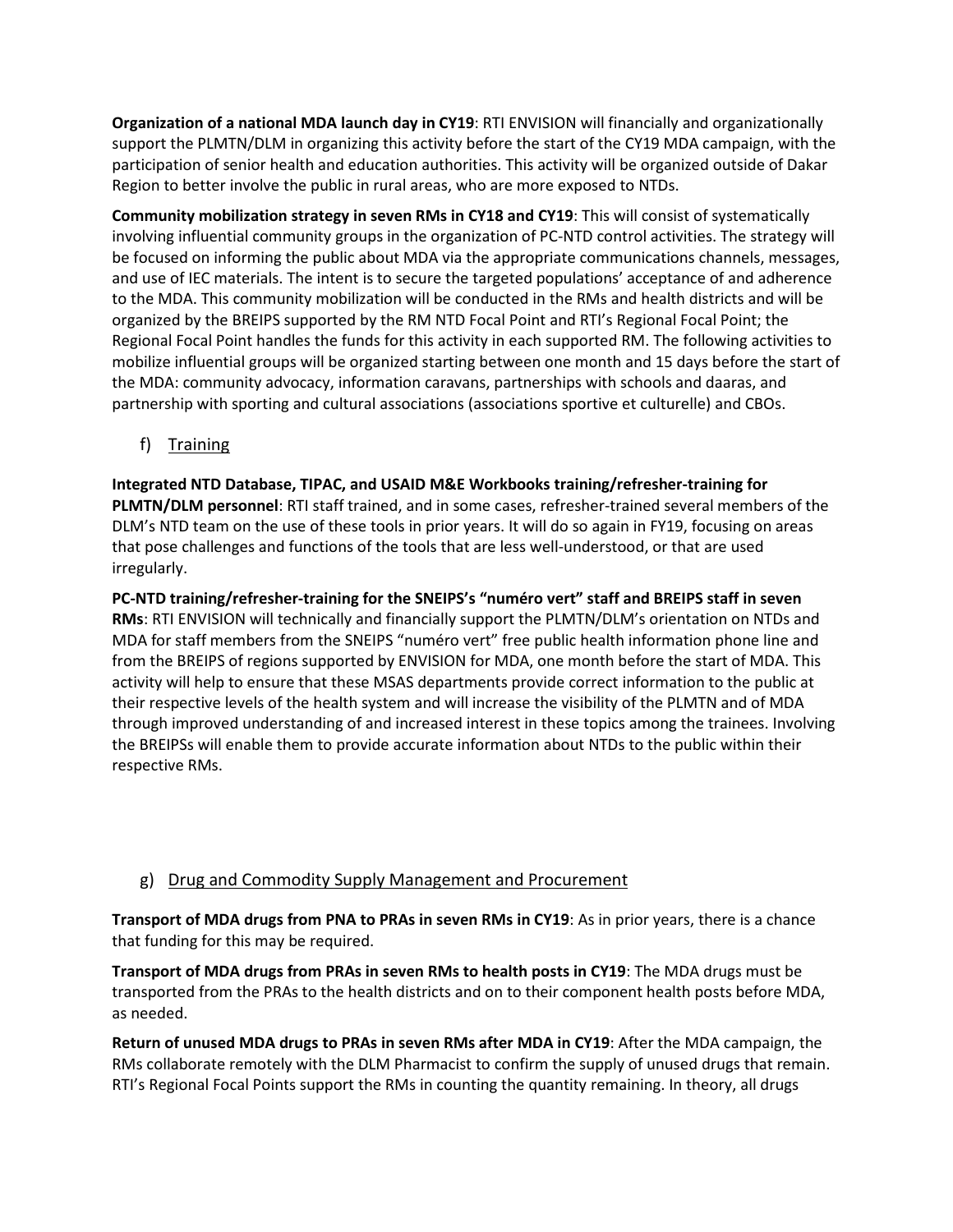Organization of a national MDA launch day in CY19: RTI ENVISION will financially and organizationally support the PLMTN/DLM in organizing this activity before the start of the CY19 MDA campaign, with the participation of senior health and education authorities. This activity will be organized outside of Dakar Region to better involve the public in rural areas, who are more exposed to NTDs.

Community mobilization strategy in seven RMs in CY18 and CY19: This will consist of systematically involving influential community groups in the organization of PC-NTD control activities. The strategy will be focused on informing the public about MDA via the appropriate communications channels, messages, and use of IEC materials. The intent is to secure the targeted populations' acceptance of and adherence to the MDA. This community mobilization will be conducted in the RMs and health districts and will be organized by the BREIPS supported by the RM NTD Focal Point and RTI's Regional Focal Point; the Regional Focal Point handles the funds for this activity in each supported RM. The following activities to mobilize influential groups will be organized starting between one month and 15 days before the start of the MDA: community advocacy, information caravans, partnerships with schools and daaras, and partnership with sporting and cultural associations (associations sportive et culturelle) and CBOs.

f) Training

Integrated NTD Database, TIPAC, and USAID M&E Workbooks training/refresher-training for PLMTN/DLM personnel: RTI staff trained, and in some cases, refresher-trained several members of the DLM's NTD team on the use of these tools in prior years. It will do so again in FY19, focusing on areas that pose challenges and functions of the tools that are less well-understood, or that are used irregularly.

PC-NTD training/refresher-training for the SNEIPS's "numéro vert" staff and BREIPS staff in seven RMs: RTI ENVISION will technically and financially support the PLMTN/DLM's orientation on NTDs and MDA for staff members from the SNEIPS "numéro vert" free public health information phone line and from the BREIPS of regions supported by ENVISION for MDA, one month before the start of MDA. This activity will help to ensure that these MSAS departments provide correct information to the public at their respective levels of the health system and will increase the visibility of the PLMTN and of MDA through improved understanding of and increased interest in these topics among the trainees. Involving the BREIPSs will enable them to provide accurate information about NTDs to the public within their respective RMs.

#### g) Drug and Commodity Supply Management and Procurement

Transport of MDA drugs from PNA to PRAs in seven RMs in CY19: As in prior years, there is a chance that funding for this may be required.

Transport of MDA drugs from PRAs in seven RMs to health posts in CY19: The MDA drugs must be transported from the PRAs to the health districts and on to their component health posts before MDA, as needed.

Return of unused MDA drugs to PRAs in seven RMs after MDA in CY19: After the MDA campaign, the RMs collaborate remotely with the DLM Pharmacist to confirm the supply of unused drugs that remain. RTI's Regional Focal Points support the RMs in counting the quantity remaining. In theory, all drugs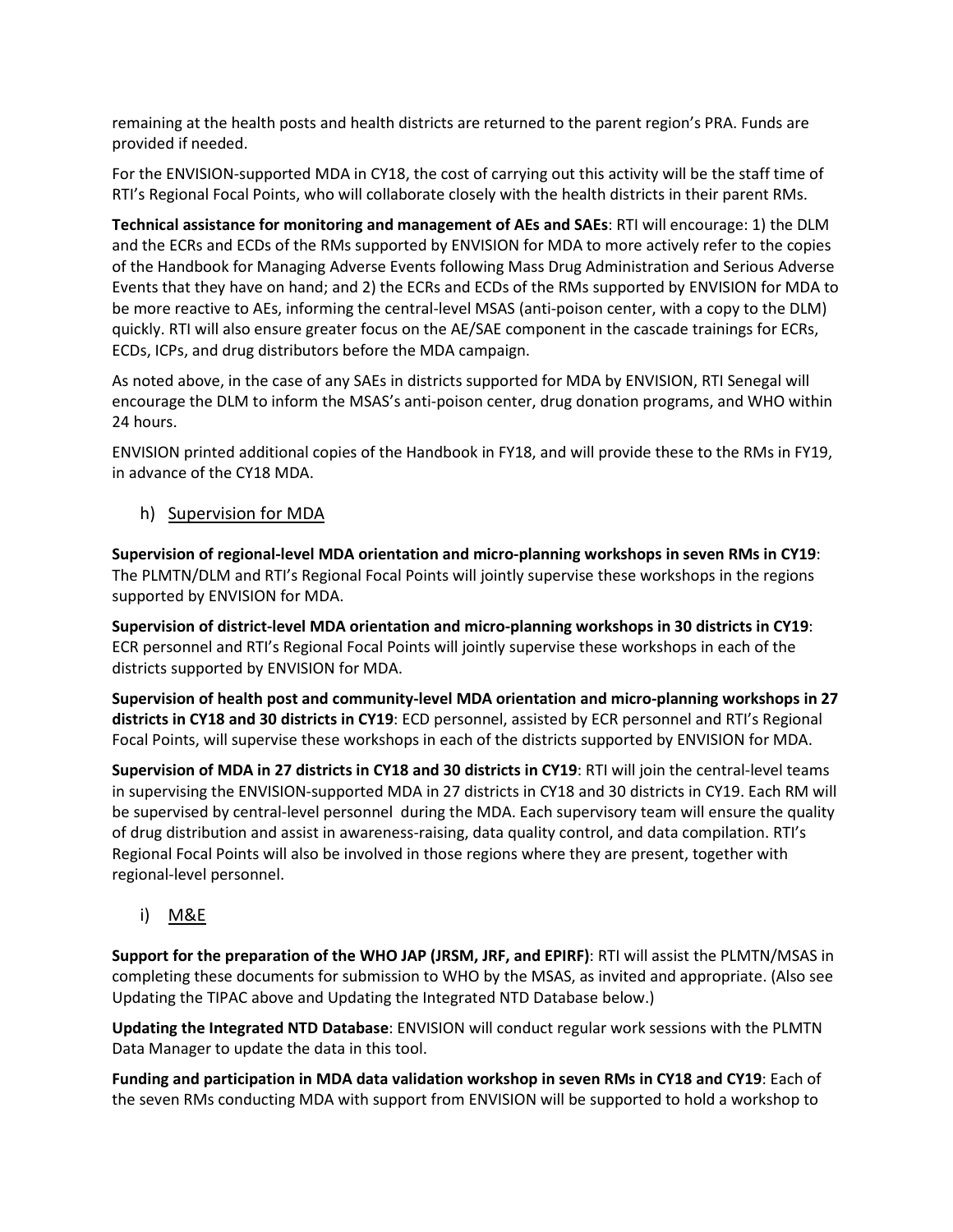remaining at the health posts and health districts are returned to the parent region's PRA. Funds are provided if needed.

For the ENVISION-supported MDA in CY18, the cost of carrying out this activity will be the staff time of RTI's Regional Focal Points, who will collaborate closely with the health districts in their parent RMs.

Technical assistance for monitoring and management of AEs and SAEs: RTI will encourage: 1) the DLM and the ECRs and ECDs of the RMs supported by ENVISION for MDA to more actively refer to the copies of the Handbook for Managing Adverse Events following Mass Drug Administration and Serious Adverse Events that they have on hand; and 2) the ECRs and ECDs of the RMs supported by ENVISION for MDA to be more reactive to AEs, informing the central-level MSAS (anti-poison center, with a copy to the DLM) quickly. RTI will also ensure greater focus on the AE/SAE component in the cascade trainings for ECRs, ECDs, ICPs, and drug distributors before the MDA campaign.

As noted above, in the case of any SAEs in districts supported for MDA by ENVISION, RTI Senegal will encourage the DLM to inform the MSAS's anti-poison center, drug donation programs, and WHO within 24 hours.

ENVISION printed additional copies of the Handbook in FY18, and will provide these to the RMs in FY19, in advance of the CY18 MDA.

h) Supervision for MDA

Supervision of regional-level MDA orientation and micro-planning workshops in seven RMs in CY19: The PLMTN/DLM and RTI's Regional Focal Points will jointly supervise these workshops in the regions supported by ENVISION for MDA.

Supervision of district-level MDA orientation and micro-planning workshops in 30 districts in CY19: ECR personnel and RTI's Regional Focal Points will jointly supervise these workshops in each of the districts supported by ENVISION for MDA.

Supervision of health post and community-level MDA orientation and micro-planning workshops in 27 districts in CY18 and 30 districts in CY19: ECD personnel, assisted by ECR personnel and RTI's Regional Focal Points, will supervise these workshops in each of the districts supported by ENVISION for MDA.

Supervision of MDA in 27 districts in CY18 and 30 districts in CY19: RTI will join the central-level teams in supervising the ENVISION-supported MDA in 27 districts in CY18 and 30 districts in CY19. Each RM will be supervised by central-level personnel during the MDA. Each supervisory team will ensure the quality of drug distribution and assist in awareness-raising, data quality control, and data compilation. RTI's Regional Focal Points will also be involved in those regions where they are present, together with regional-level personnel.

i) M&E

Support for the preparation of the WHO JAP (JRSM, JRF, and EPIRF): RTI will assist the PLMTN/MSAS in completing these documents for submission to WHO by the MSAS, as invited and appropriate. (Also see Updating the TIPAC above and Updating the Integrated NTD Database below.)

Updating the Integrated NTD Database: ENVISION will conduct regular work sessions with the PLMTN Data Manager to update the data in this tool.

Funding and participation in MDA data validation workshop in seven RMs in CY18 and CY19: Each of the seven RMs conducting MDA with support from ENVISION will be supported to hold a workshop to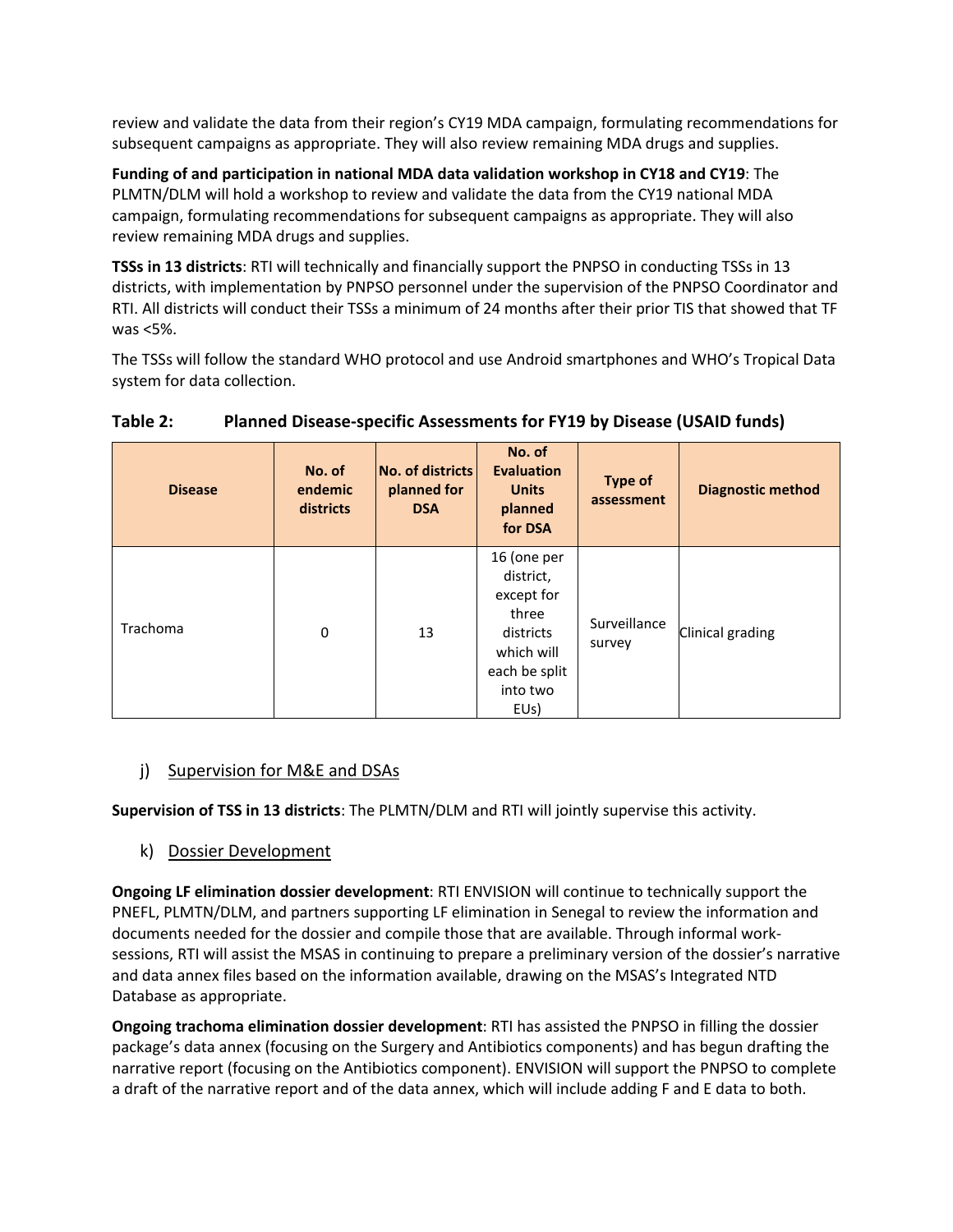review and validate the data from their region's CY19 MDA campaign, formulating recommendations for subsequent campaigns as appropriate. They will also review remaining MDA drugs and supplies.

Funding of and participation in national MDA data validation workshop in CY18 and CY19: The PLMTN/DLM will hold a workshop to review and validate the data from the CY19 national MDA campaign, formulating recommendations for subsequent campaigns as appropriate. They will also review remaining MDA drugs and supplies.

TSSs in 13 districts: RTI will technically and financially support the PNPSO in conducting TSSs in 13 districts, with implementation by PNPSO personnel under the supervision of the PNPSO Coordinator and RTI. All districts will conduct their TSSs a minimum of 24 months after their prior TIS that showed that TF was <5%.

The TSSs will follow the standard WHO protocol and use Android smartphones and WHO's Tropical Data system for data collection.

| <b>Disease</b> | No. of<br>endemic<br>districts | <b>No. of districts</b><br>planned for<br><b>DSA</b> | No. of<br><b>Evaluation</b><br><b>Units</b><br>planned<br>for DSA                                               | <b>Type of</b><br>assessment | <b>Diagnostic method</b> |
|----------------|--------------------------------|------------------------------------------------------|-----------------------------------------------------------------------------------------------------------------|------------------------------|--------------------------|
| Trachoma       | $\mathbf 0$                    | 13                                                   | 16 (one per<br>district,<br>except for<br>three<br>districts<br>which will<br>each be split<br>into two<br>EUs) | Surveillance<br>survey       | Clinical grading         |

#### Table 2: Planned Disease-specific Assessments for FY19 by Disease (USAID funds)

#### j) Supervision for M&E and DSAs

Supervision of TSS in 13 districts: The PLMTN/DLM and RTI will jointly supervise this activity.

k) Dossier Development

Ongoing LF elimination dossier development: RTI ENVISION will continue to technically support the PNEFL, PLMTN/DLM, and partners supporting LF elimination in Senegal to review the information and documents needed for the dossier and compile those that are available. Through informal worksessions, RTI will assist the MSAS in continuing to prepare a preliminary version of the dossier's narrative and data annex files based on the information available, drawing on the MSAS's Integrated NTD Database as appropriate.

Ongoing trachoma elimination dossier development: RTI has assisted the PNPSO in filling the dossier package's data annex (focusing on the Surgery and Antibiotics components) and has begun drafting the narrative report (focusing on the Antibiotics component). ENVISION will support the PNPSO to complete a draft of the narrative report and of the data annex, which will include adding F and E data to both.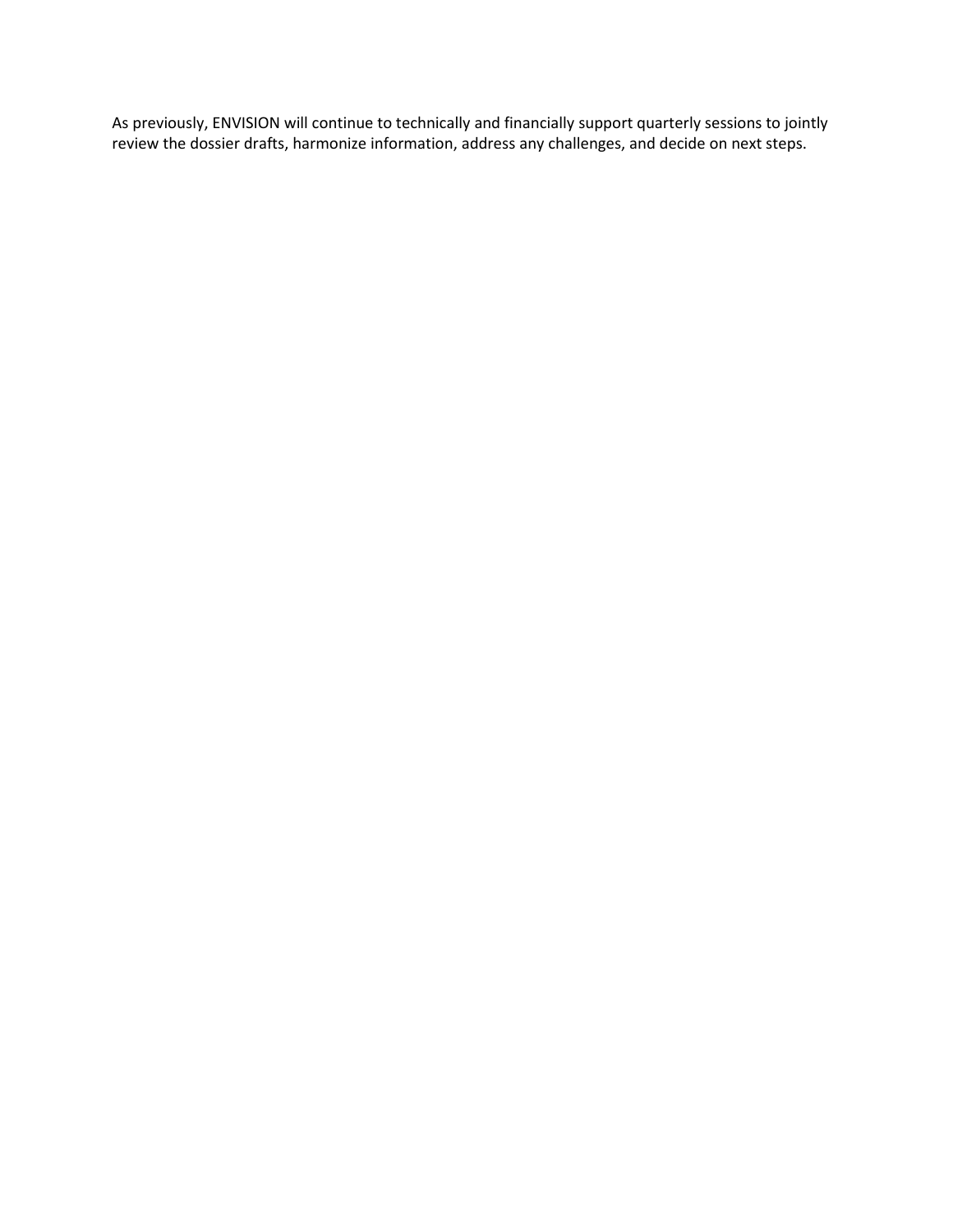As previously, ENVISION will continue to technically and financially support quarterly sessions to jointly review the dossier drafts, harmonize information, address any challenges, and decide on next steps.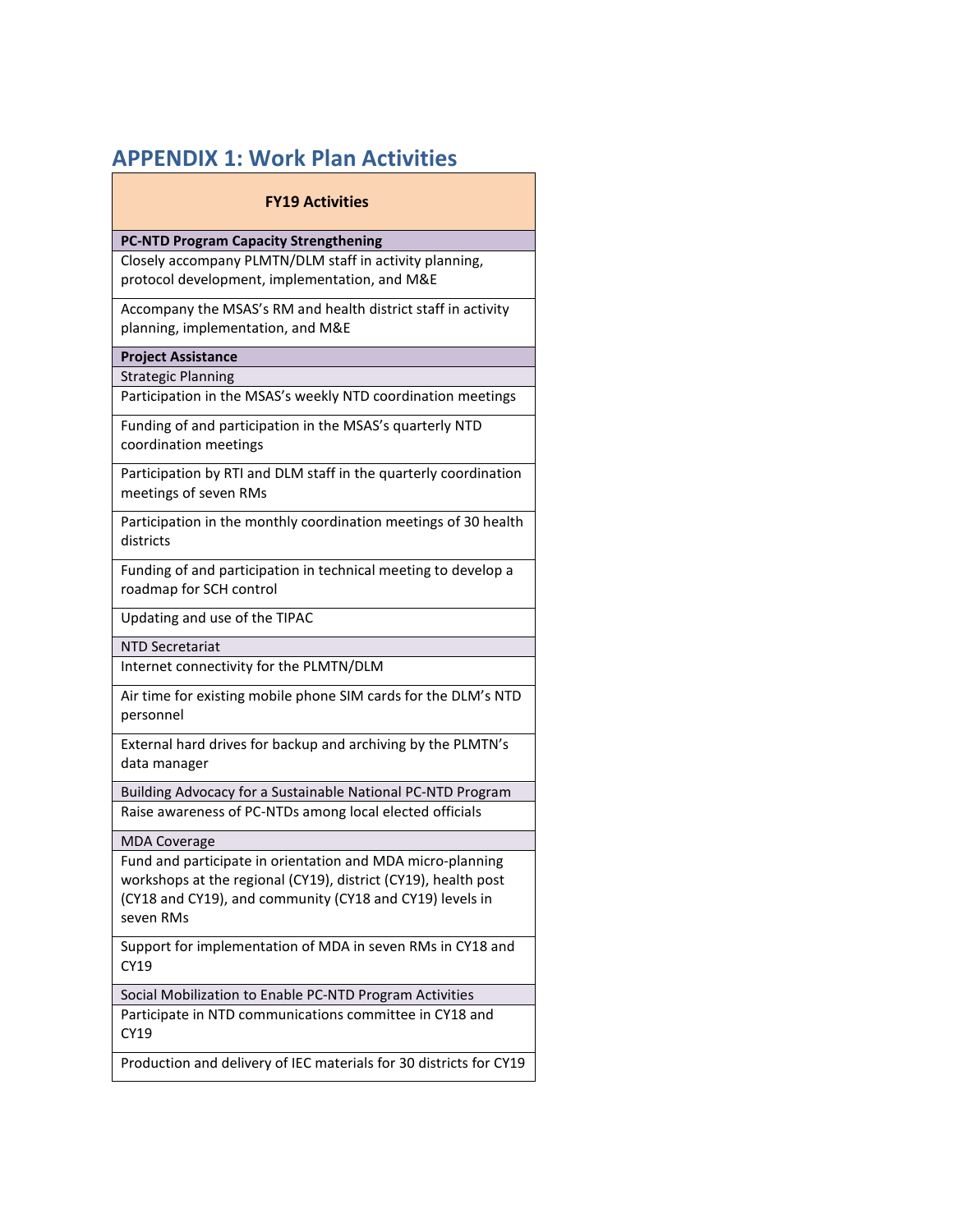## APPENDIX 1: Work Plan Activities

#### FY19 Activities

#### PC-NTD Program Capacity Strengthening

Closely accompany PLMTN/DLM staff in activity planning, protocol development, implementation, and M&E

Accompany the MSAS's RM and health district staff in activity planning, implementation, and M&E

#### Project Assistance

Strategic Planning

Participation in the MSAS's weekly NTD coordination meetings

Funding of and participation in the MSAS's quarterly NTD coordination meetings

Participation by RTI and DLM staff in the quarterly coordination meetings of seven RMs

Participation in the monthly coordination meetings of 30 health districts

Funding of and participation in technical meeting to develop a roadmap for SCH control

Updating and use of the TIPAC

NTD Secretariat

Internet connectivity for the PLMTN/DLM

Air time for existing mobile phone SIM cards for the DLM's NTD personnel

External hard drives for backup and archiving by the PLMTN's data manager

Building Advocacy for a Sustainable National PC-NTD Program Raise awareness of PC-NTDs among local elected officials

MDA Coverage

Fund and participate in orientation and MDA micro-planning workshops at the regional (CY19), district (CY19), health post (CY18 and CY19), and community (CY18 and CY19) levels in seven RMs

Support for implementation of MDA in seven RMs in CY18 and CY19

Social Mobilization to Enable PC-NTD Program Activities

Participate in NTD communications committee in CY18 and CY19

Production and delivery of IEC materials for 30 districts for CY19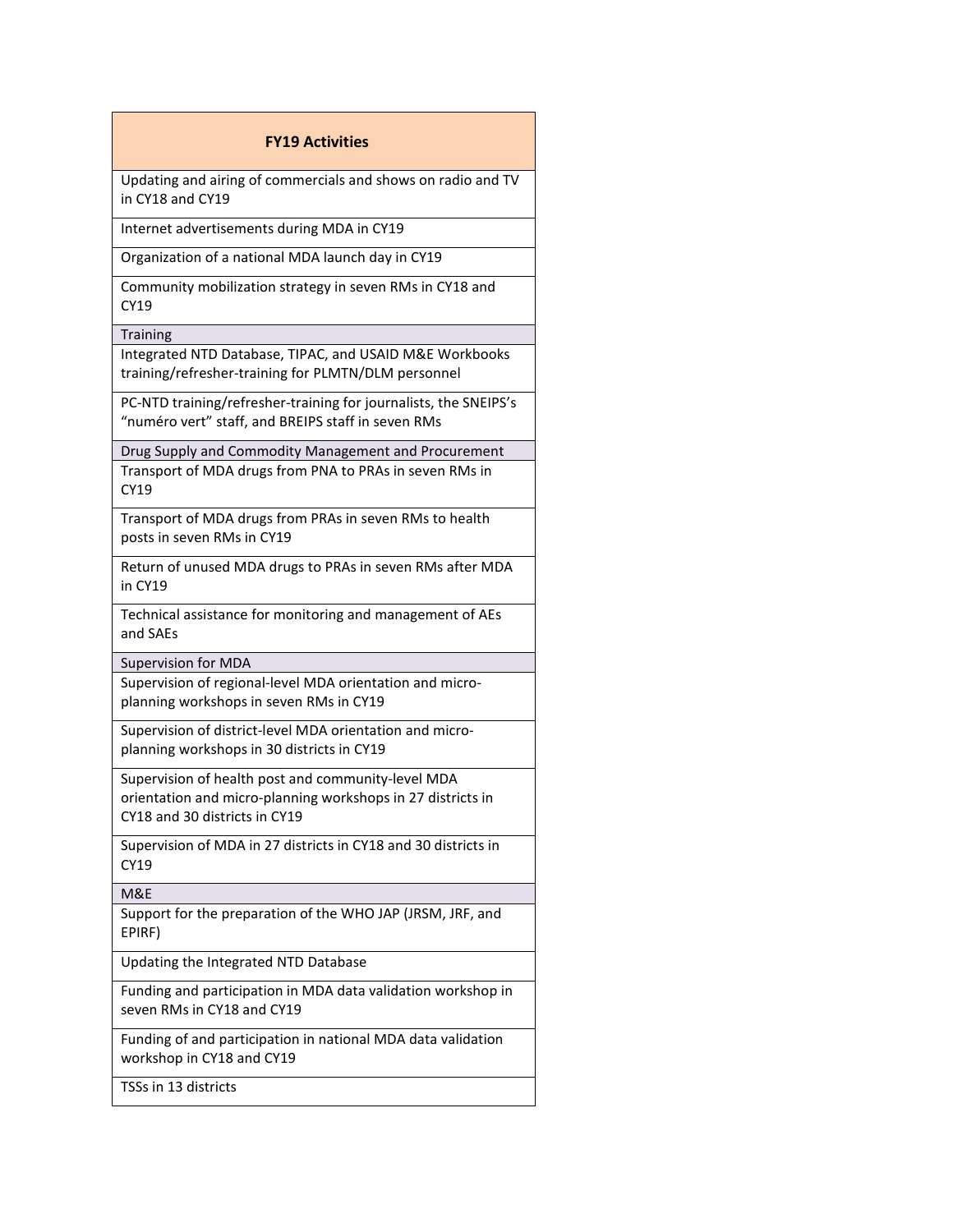#### FY19 Activities

Updating and airing of commercials and shows on radio and TV in CY18 and CY19

Internet advertisements during MDA in CY19

Organization of a national MDA launch day in CY19

Community mobilization strategy in seven RMs in CY18 and CY19

**Training** 

Integrated NTD Database, TIPAC, and USAID M&E Workbooks training/refresher-training for PLMTN/DLM personnel

PC-NTD training/refresher-training for journalists, the SNEIPS's "numéro vert" staff, and BREIPS staff in seven RMs

Drug Supply and Commodity Management and Procurement Transport of MDA drugs from PNA to PRAs in seven RMs in CY19

Transport of MDA drugs from PRAs in seven RMs to health posts in seven RMs in CY19

Return of unused MDA drugs to PRAs in seven RMs after MDA in CY19

Technical assistance for monitoring and management of AEs and SAEs

Supervision for MDA

Supervision of regional-level MDA orientation and microplanning workshops in seven RMs in CY19

Supervision of district-level MDA orientation and microplanning workshops in 30 districts in CY19

Supervision of health post and community-level MDA orientation and micro-planning workshops in 27 districts in CY18 and 30 districts in CY19

Supervision of MDA in 27 districts in CY18 and 30 districts in CY19

M&E

Support for the preparation of the WHO JAP (JRSM, JRF, and EPIRF)

Updating the Integrated NTD Database

Funding and participation in MDA data validation workshop in seven RMs in CY18 and CY19

Funding of and participation in national MDA data validation workshop in CY18 and CY19

TSSs in 13 districts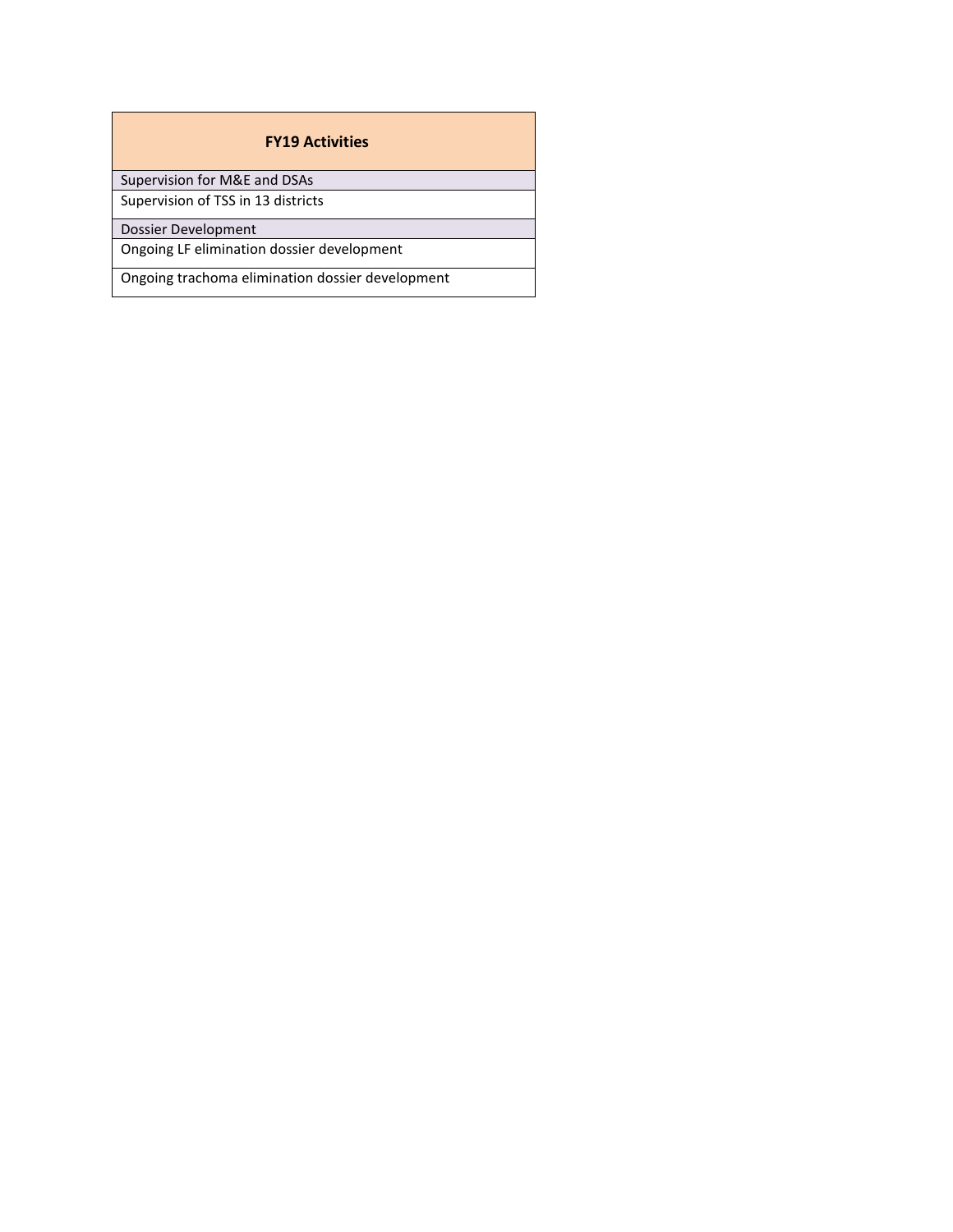#### FY19 Activities

Supervision for M&E and DSAs

Supervision of TSS in 13 districts

Dossier Development

Ongoing LF elimination dossier development

Ongoing trachoma elimination dossier development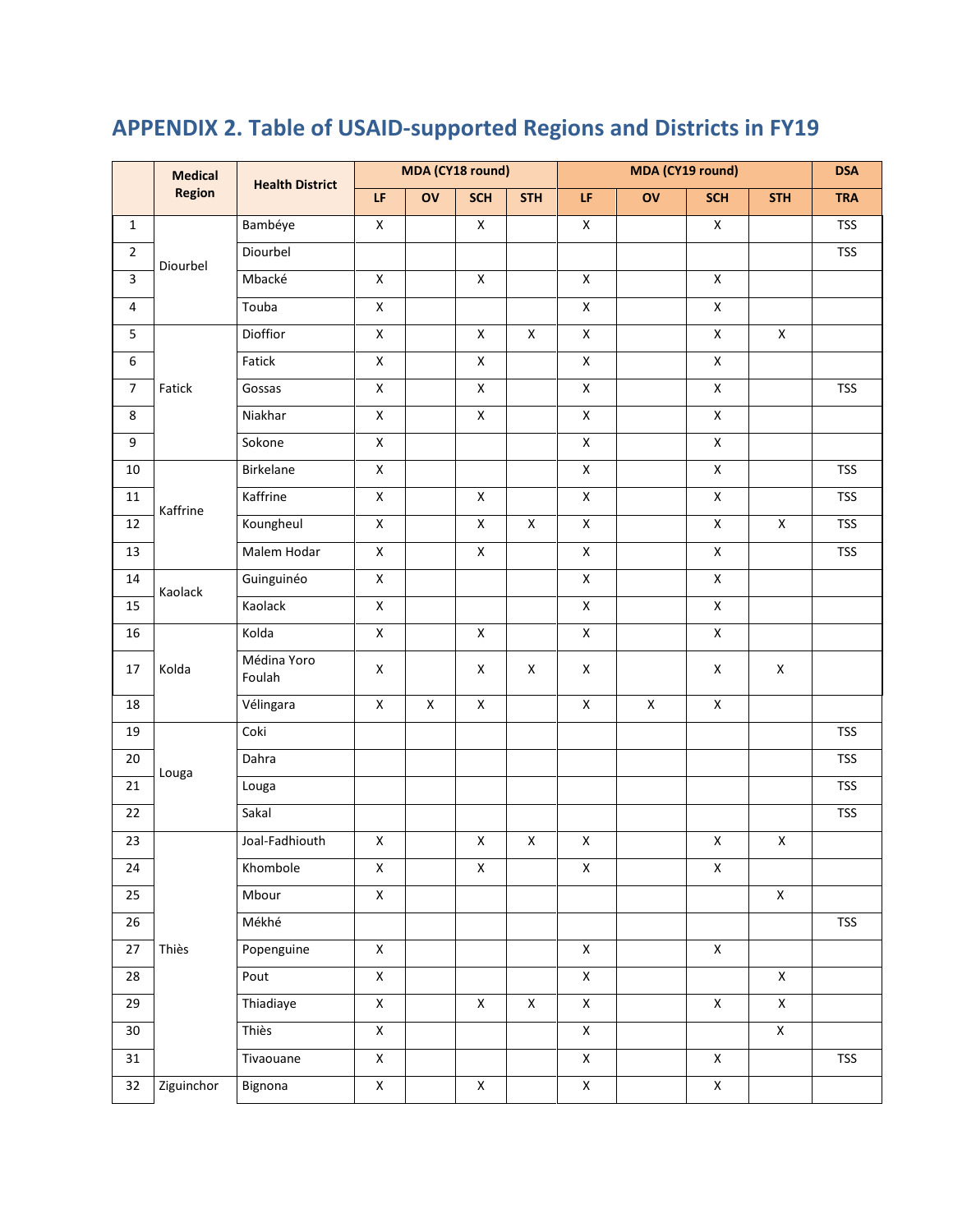|                         | MDA (CY18 round)<br>MDA (CY19 round)<br><b>Medical</b><br><b>Health District</b> |                       |                                                                         |                    | <b>DSA</b>         |                    |                         |    |                    |                    |            |
|-------------------------|----------------------------------------------------------------------------------|-----------------------|-------------------------------------------------------------------------|--------------------|--------------------|--------------------|-------------------------|----|--------------------|--------------------|------------|
|                         | <b>Region</b>                                                                    |                       | $\mathsf{LF}% _{0}\left( t\right) \equiv\mathsf{LF}_{0}\left( t\right)$ | ov                 | <b>SCH</b>         | <b>STH</b>         | LF                      | ov | <b>SCH</b>         | <b>STH</b>         | <b>TRA</b> |
| $\mathbf{1}$            |                                                                                  | Bambéye               | $\mathsf X$                                                             |                    | $\pmb{\mathsf{X}}$ |                    | $\pmb{\mathsf{X}}$      |    | $\mathsf X$        |                    | <b>TSS</b> |
| $\overline{2}$          | Diourbel                                                                         | Diourbel              |                                                                         |                    |                    |                    |                         |    |                    |                    | <b>TSS</b> |
| $\overline{\mathbf{3}}$ |                                                                                  | Mbacké                | $\pmb{\mathsf{X}}$                                                      |                    | $\pmb{\mathsf{X}}$ |                    | $\pmb{\mathsf{X}}$      |    | $\pmb{\mathsf{X}}$ |                    |            |
| 4                       |                                                                                  | Touba                 | $\pmb{\mathsf{X}}$                                                      |                    |                    |                    | $\pmb{\mathsf{X}}$      |    | $\pmb{\mathsf{X}}$ |                    |            |
| 5                       |                                                                                  | Dioffior              | $\mathsf X$                                                             |                    | $\pmb{\mathsf{X}}$ | $\pmb{\mathsf{X}}$ | $\mathsf X$             |    | $\mathsf X$        | $\mathsf X$        |            |
| 6                       |                                                                                  | Fatick                | $\overline{X}$                                                          |                    | $\mathsf X$        |                    | $\mathsf X$             |    | $\overline{X}$     |                    |            |
| $\overline{7}$          | Fatick                                                                           | Gossas                | $\mathsf X$                                                             |                    | $\mathsf X$        |                    | $\pmb{\mathsf{X}}$      |    | $\overline{X}$     |                    | <b>TSS</b> |
| 8                       |                                                                                  | Niakhar               | $\pmb{\mathsf{X}}$                                                      |                    | $\pmb{\mathsf{X}}$ |                    | $\pmb{\mathsf{X}}$      |    | $\mathsf X$        |                    |            |
| 9                       |                                                                                  | Sokone                | $\pmb{\mathsf{X}}$                                                      |                    |                    |                    | $\pmb{\mathsf{X}}$      |    | $\mathsf X$        |                    |            |
| $10\,$                  |                                                                                  | Birkelane             | $\pmb{\mathsf{X}}$                                                      |                    |                    |                    | $\overline{\mathsf{x}}$ |    | $\overline{X}$     |                    | <b>TSS</b> |
| $11\,$                  | Kaffrine                                                                         | Kaffrine              | $\pmb{\mathsf{X}}$                                                      |                    | $\pmb{\mathsf{X}}$ |                    | $\mathsf X$             |    | $\mathsf X$        |                    | <b>TSS</b> |
| 12                      |                                                                                  | Koungheul             | $\mathsf X$                                                             |                    | $\mathsf X$        | $\pmb{\mathsf{X}}$ | $\mathsf X$             |    | $\pmb{\mathsf{X}}$ | $\mathsf X$        | <b>TSS</b> |
| 13                      |                                                                                  | Malem Hodar           | $\mathsf X$                                                             |                    | $\mathsf X$        |                    | $\pmb{\mathsf{X}}$      |    | $\mathsf X$        |                    | <b>TSS</b> |
| 14                      | Kaolack                                                                          | Guinguinéo            | $\mathsf X$                                                             |                    |                    |                    | $\mathsf X$             |    | $\pmb{\mathsf{X}}$ |                    |            |
| 15                      |                                                                                  | Kaolack               | $\overline{X}$                                                          |                    |                    |                    | $\overline{\mathsf{x}}$ |    | $\overline{X}$     |                    |            |
| 16                      |                                                                                  | Kolda                 | $\mathsf X$                                                             |                    | $\mathsf X$        |                    | $\mathsf X$             |    | $\mathsf X$        |                    |            |
| 17                      | Kolda                                                                            | Médina Yoro<br>Foulah | X                                                                       |                    | X                  | X                  | $\pmb{\mathsf{X}}$      |    | $\pmb{\mathsf{X}}$ | $\pmb{\mathsf{X}}$ |            |
| 18                      |                                                                                  | Vélingara             | $\pmb{\mathsf{X}}$                                                      | $\pmb{\mathsf{X}}$ | $\pmb{\mathsf{X}}$ |                    | $\pmb{\mathsf{X}}$      | X  | $\mathsf X$        |                    |            |
| 19                      |                                                                                  | Coki                  |                                                                         |                    |                    |                    |                         |    |                    |                    | <b>TSS</b> |
| $20\,$                  |                                                                                  | Dahra                 |                                                                         |                    |                    |                    |                         |    |                    |                    | <b>TSS</b> |
| 21                      | Louga                                                                            | Louga                 |                                                                         |                    |                    |                    |                         |    |                    |                    | <b>TSS</b> |
| 22                      |                                                                                  | Sakal                 |                                                                         |                    |                    |                    |                         |    |                    |                    | <b>TSS</b> |
| 23                      |                                                                                  | Joal-Fadhiouth        | $\pmb{\mathsf{X}}$                                                      |                    | $\mathsf X$        | $\pmb{\mathsf{X}}$ | $\pmb{\mathsf{X}}$      |    | $\mathsf X$        | $\mathsf X$        |            |
| 24                      |                                                                                  | Khombole              | $\pmb{\mathsf{X}}$                                                      |                    | $\pmb{\mathsf{X}}$ |                    | $\mathsf X$             |    | $\pmb{\mathsf{X}}$ |                    |            |
| 25                      |                                                                                  | Mbour                 | $\mathsf X$                                                             |                    |                    |                    |                         |    |                    | $\mathsf X$        |            |
| 26                      | Thiès                                                                            | Mékhé                 |                                                                         |                    |                    |                    |                         |    |                    |                    | <b>TSS</b> |
| 27                      |                                                                                  | Popenguine            | $\mathsf X$                                                             |                    |                    |                    | $\mathsf X$             |    | $\pmb{\mathsf{X}}$ |                    |            |
| 28                      |                                                                                  | Pout                  | $\mathsf X$                                                             |                    |                    |                    | $\mathsf X$             |    |                    | $\mathsf X$        |            |
| 29                      |                                                                                  | Thiadiaye             | $\overline{X}$                                                          |                    | $\mathsf X$        | $\mathsf X$        | $\overline{X}$          |    | $\overline{X}$     | $\overline{X}$     |            |
| 30 <sub>2</sub>         |                                                                                  | Thiès                 | $\pmb{\mathsf{X}}$                                                      |                    |                    |                    | $\mathsf X$             |    |                    | $\overline{X}$     |            |
| 31                      |                                                                                  | Tivaouane             | $\mathsf X$                                                             |                    |                    |                    | $\mathsf X$             |    | $\mathsf X$        |                    | <b>TSS</b> |
| 32                      | Ziguinchor                                                                       | Bignona               | $\mathsf X$                                                             |                    | $\mathsf X$        |                    | $\mathsf X$             |    | $\overline{X}$     |                    |            |

## APPENDIX 2. Table of USAID-supported Regions and Districts in FY19